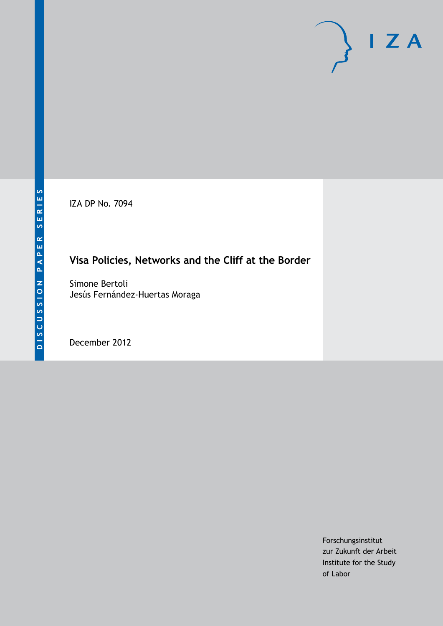IZA DP No. 7094

# **Visa Policies, Networks and the Cliff at the Border**

Simone Bertoli Jesús Fernández-Huertas Moraga

December 2012

Forschungsinstitut zur Zukunft der Arbeit Institute for the Study of Labor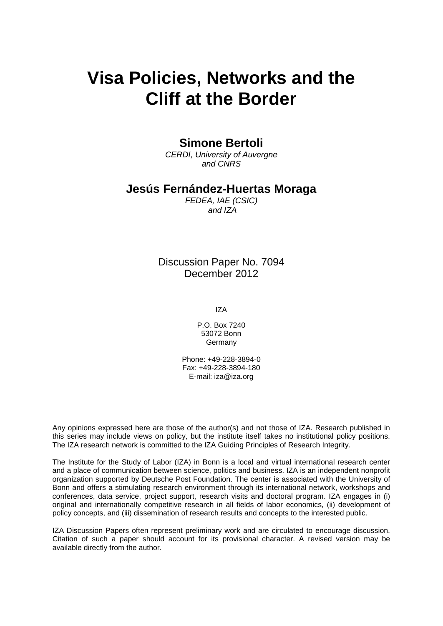# **Visa Policies, Networks and the Cliff at the Border**

### **Simone Bertoli**

*CERDI, University of Auvergne and CNRS*

### **Jesús Fernández-Huertas Moraga**

*FEDEA, IAE (CSIC) and IZA*

Discussion Paper No. 7094 December 2012

IZA

P.O. Box 7240 53072 Bonn Germany

Phone: +49-228-3894-0 Fax: +49-228-3894-180 E-mail: [iza@iza.org](mailto:iza@iza.org)

Any opinions expressed here are those of the author(s) and not those of IZA. Research published in this series may include views on policy, but the institute itself takes no institutional policy positions. The IZA research network is committed to the IZA Guiding Principles of Research Integrity.

The Institute for the Study of Labor (IZA) in Bonn is a local and virtual international research center and a place of communication between science, politics and business. IZA is an independent nonprofit organization supported by Deutsche Post Foundation. The center is associated with the University of Bonn and offers a stimulating research environment through its international network, workshops and conferences, data service, project support, research visits and doctoral program. IZA engages in (i) original and internationally competitive research in all fields of labor economics, (ii) development of policy concepts, and (iii) dissemination of research results and concepts to the interested public.

<span id="page-1-0"></span>IZA Discussion Papers often represent preliminary work and are circulated to encourage discussion. Citation of such a paper should account for its provisional character. A revised version may be available directly from the author.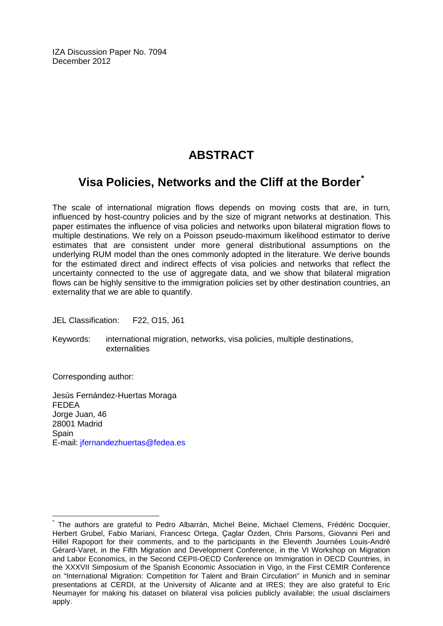IZA Discussion Paper No. 7094 December 2012

# **ABSTRACT**

## **Visa Policies, Networks and the Cliff at the Border[\\*](#page-1-0)**

The scale of international migration flows depends on moving costs that are, in turn, influenced by host-country policies and by the size of migrant networks at destination. This paper estimates the influence of visa policies and networks upon bilateral migration flows to multiple destinations. We rely on a Poisson pseudo-maximum likelihood estimator to derive estimates that are consistent under more general distributional assumptions on the underlying RUM model than the ones commonly adopted in the literature. We derive bounds for the estimated direct and indirect effects of visa policies and networks that reflect the uncertainty connected to the use of aggregate data, and we show that bilateral migration flows can be highly sensitive to the immigration policies set by other destination countries, an externality that we are able to quantify.

JEL Classification: F22, O15, J61

Keywords: international migration, networks, visa policies, multiple destinations, externalities

Corresponding author:

Jesús Fernández-Huertas Moraga FEDEA Jorge Juan, 46 28001 Madrid Spain E-mail: [jfernandezhuertas@fedea.es](mailto:jfernandezhuertas@fedea.es)

The authors are grateful to Pedro Albarrán, Michel Beine, Michael Clemens, Frédéric Docquier, Herbert Grubel, Fabio Mariani, Francesc Ortega, Ҫaglar Özden, Chris Parsons, Giovanni Peri and Hillel Rapoport for their comments, and to the participants in the Eleventh Journées Louis-André Gérard-Varet, in the Fifth Migration and Development Conference, in the VI Workshop on Migration and Labor Economics, in the Second CEPII-OECD Conference on Immigration in OECD Countries, in the XXXVII Simposium of the Spanish Economic Association in Vigo, in the First CEMIR Conference on "International Migration: Competition for Talent and Brain Circulation" in Munich and in seminar presentations at CERDI, at the University of Alicante and at IRES; they are also grateful to Eric Neumayer for making his dataset on bilateral visa policies publicly available; the usual disclaimers apply.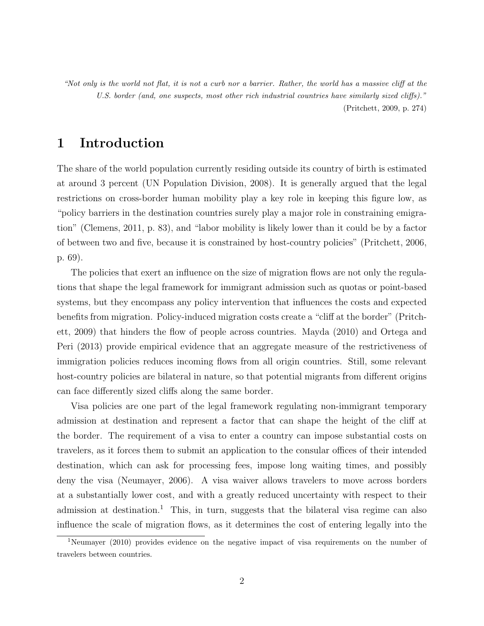"Not only is the world not flat, it is not a curb nor a barrier. Rather, the world has a massive cliff at the U.S. border (and, one suspects, most other rich industrial countries have similarly sized cliffs)." (Pritchett, 2009, p. 274)

### 1 Introduction

The share of the world population currently residing outside its country of birth is estimated at around 3 percent (UN Population Division, 2008). It is generally argued that the legal restrictions on cross-border human mobility play a key role in keeping this figure low, as "policy barriers in the destination countries surely play a major role in constraining emigration" (Clemens, 2011, p. 83), and "labor mobility is likely lower than it could be by a factor of between two and five, because it is constrained by host-country policies" (Pritchett, 2006, p. 69).

The policies that exert an influence on the size of migration flows are not only the regulations that shape the legal framework for immigrant admission such as quotas or point-based systems, but they encompass any policy intervention that influences the costs and expected benefits from migration. Policy-induced migration costs create a "cliff at the border" (Pritchett, 2009) that hinders the flow of people across countries. Mayda (2010) and Ortega and Peri (2013) provide empirical evidence that an aggregate measure of the restrictiveness of immigration policies reduces incoming flows from all origin countries. Still, some relevant host-country policies are bilateral in nature, so that potential migrants from different origins can face differently sized cliffs along the same border.

Visa policies are one part of the legal framework regulating non-immigrant temporary admission at destination and represent a factor that can shape the height of the cliff at the border. The requirement of a visa to enter a country can impose substantial costs on travelers, as it forces them to submit an application to the consular offices of their intended destination, which can ask for processing fees, impose long waiting times, and possibly deny the visa (Neumayer, 2006). A visa waiver allows travelers to move across borders at a substantially lower cost, and with a greatly reduced uncertainty with respect to their admission at destination.<sup>1</sup> This, in turn, suggests that the bilateral visa regime can also influence the scale of migration flows, as it determines the cost of entering legally into the

<sup>&</sup>lt;sup>1</sup>Neumayer (2010) provides evidence on the negative impact of visa requirements on the number of travelers between countries.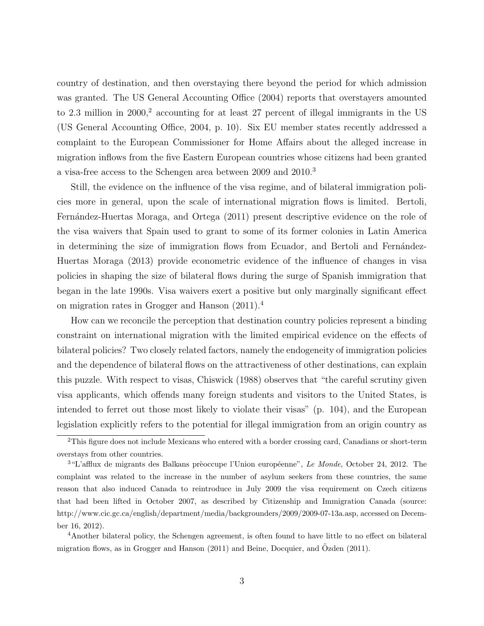country of destination, and then overstaying there beyond the period for which admission was granted. The US General Accounting Office (2004) reports that overstayers amounted to 2.3 million in 2000,<sup>2</sup> accounting for at least 27 percent of illegal immigrants in the US (US General Accounting Office, 2004, p. 10). Six EU member states recently addressed a complaint to the European Commissioner for Home Affairs about the alleged increase in migration inflows from the five Eastern European countries whose citizens had been granted a visa-free access to the Schengen area between 2009 and 2010.<sup>3</sup>

Still, the evidence on the influence of the visa regime, and of bilateral immigration policies more in general, upon the scale of international migration flows is limited. Bertoli, Fernández-Huertas Moraga, and Ortega (2011) present descriptive evidence on the role of the visa waivers that Spain used to grant to some of its former colonies in Latin America in determining the size of immigration flows from Ecuador, and Bertoli and Fernández-Huertas Moraga (2013) provide econometric evidence of the influence of changes in visa policies in shaping the size of bilateral flows during the surge of Spanish immigration that began in the late 1990s. Visa waivers exert a positive but only marginally significant effect on migration rates in Grogger and Hanson (2011).<sup>4</sup>

How can we reconcile the perception that destination country policies represent a binding constraint on international migration with the limited empirical evidence on the effects of bilateral policies? Two closely related factors, namely the endogeneity of immigration policies and the dependence of bilateral flows on the attractiveness of other destinations, can explain this puzzle. With respect to visas, Chiswick (1988) observes that "the careful scrutiny given visa applicants, which offends many foreign students and visitors to the United States, is intended to ferret out those most likely to violate their visas" (p. 104), and the European legislation explicitly refers to the potential for illegal immigration from an origin country as

<sup>2</sup>This figure does not include Mexicans who entered with a border crossing card, Canadians or short-term overstays from other countries.

 $3$ "L'afflux de migrants des Balkans prèoccupe l'Union européenne", Le Monde, October 24, 2012. The complaint was related to the increase in the number of asylum seekers from these countries, the same reason that also induced Canada to reintroduce in July 2009 the visa requirement on Czech citizens that had been lifted in October 2007, as described by Citizenship and Immigration Canada (source: http://www.cic.gc.ca/english/department/media/backgrounders/2009/2009-07-13a.asp, accessed on December 16, 2012).

<sup>4</sup>Another bilateral policy, the Schengen agreement, is often found to have little to no effect on bilateral migration flows, as in Grogger and Hanson  $(2011)$  and Beine, Docquier, and  $Ozden (2011)$ .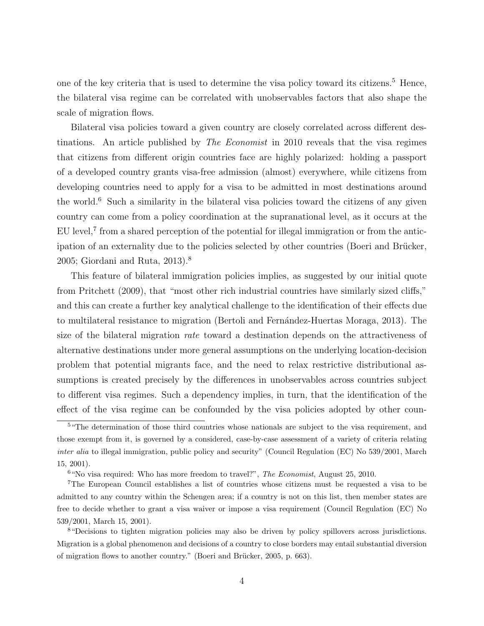one of the key criteria that is used to determine the visa policy toward its citizens.<sup>5</sup> Hence, the bilateral visa regime can be correlated with unobservables factors that also shape the scale of migration flows.

Bilateral visa policies toward a given country are closely correlated across different destinations. An article published by *The Economist* in 2010 reveals that the visa regimes that citizens from different origin countries face are highly polarized: holding a passport of a developed country grants visa-free admission (almost) everywhere, while citizens from developing countries need to apply for a visa to be admitted in most destinations around the world.<sup>6</sup> Such a similarity in the bilateral visa policies toward the citizens of any given country can come from a policy coordination at the supranational level, as it occurs at the EU level,<sup>7</sup> from a shared perception of the potential for illegal immigration or from the anticipation of an externality due to the policies selected by other countries (Boeri and Brücker, 2005; Giordani and Ruta, 2013).<sup>8</sup>

This feature of bilateral immigration policies implies, as suggested by our initial quote from Pritchett (2009), that "most other rich industrial countries have similarly sized cliffs," and this can create a further key analytical challenge to the identification of their effects due to multilateral resistance to migration (Bertoli and Fernández-Huertas Moraga, 2013). The size of the bilateral migration rate toward a destination depends on the attractiveness of alternative destinations under more general assumptions on the underlying location-decision problem that potential migrants face, and the need to relax restrictive distributional assumptions is created precisely by the differences in unobservables across countries subject to different visa regimes. Such a dependency implies, in turn, that the identification of the effect of the visa regime can be confounded by the visa policies adopted by other coun-

<sup>&</sup>lt;sup>5</sup> "The determination of those third countries whose nationals are subject to the visa requirement, and those exempt from it, is governed by a considered, case-by-case assessment of a variety of criteria relating inter alia to illegal immigration, public policy and security" (Council Regulation (EC) No 539/2001, March 15, 2001).

 $6$  "No visa required: Who has more freedom to travel?", The Economist, August 25, 2010.

<sup>7</sup>The European Council establishes a list of countries whose citizens must be requested a visa to be admitted to any country within the Schengen area; if a country is not on this list, then member states are free to decide whether to grant a visa waiver or impose a visa requirement (Council Regulation (EC) No 539/2001, March 15, 2001).

<sup>8</sup>"Decisions to tighten migration policies may also be driven by policy spillovers across jurisdictions. Migration is a global phenomenon and decisions of a country to close borders may entail substantial diversion of migration flows to another country." (Boeri and Brücker, 2005, p. 663).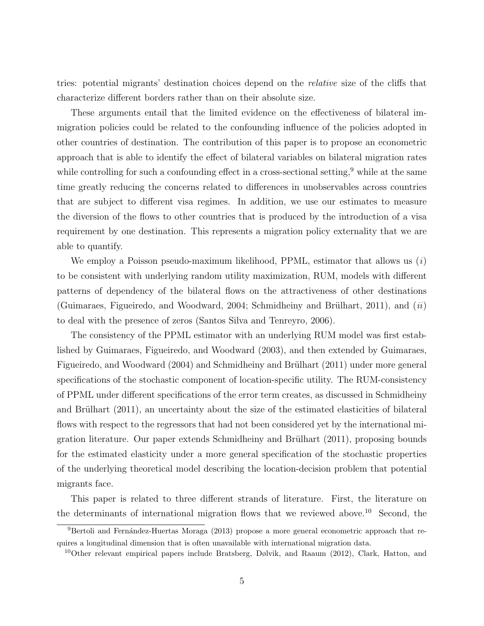tries: potential migrants' destination choices depend on the relative size of the cliffs that characterize different borders rather than on their absolute size.

These arguments entail that the limited evidence on the effectiveness of bilateral immigration policies could be related to the confounding influence of the policies adopted in other countries of destination. The contribution of this paper is to propose an econometric approach that is able to identify the effect of bilateral variables on bilateral migration rates while controlling for such a confounding effect in a cross-sectional setting,  $9$  while at the same time greatly reducing the concerns related to differences in unobservables across countries that are subject to different visa regimes. In addition, we use our estimates to measure the diversion of the flows to other countries that is produced by the introduction of a visa requirement by one destination. This represents a migration policy externality that we are able to quantify.

We employ a Poisson pseudo-maximum likelihood,  $PPML$ , estimator that allows us  $(i)$ to be consistent with underlying random utility maximization, RUM, models with different patterns of dependency of the bilateral flows on the attractiveness of other destinations (Guimaraes, Figueiredo, and Woodward, 2004; Schmidheiny and Brülhart, 2011), and  $(ii)$ to deal with the presence of zeros (Santos Silva and Tenreyro, 2006).

The consistency of the PPML estimator with an underlying RUM model was first established by Guimaraes, Figueiredo, and Woodward (2003), and then extended by Guimaraes, Figueiredo, and Woodward (2004) and Schmidheiny and Brülhart (2011) under more general specifications of the stochastic component of location-specific utility. The RUM-consistency of PPML under different specifications of the error term creates, as discussed in Schmidheiny and Brülhart (2011), an uncertainty about the size of the estimated elasticities of bilateral flows with respect to the regressors that had not been considered yet by the international migration literature. Our paper extends Schmidheiny and Brülhart  $(2011)$ , proposing bounds for the estimated elasticity under a more general specification of the stochastic properties of the underlying theoretical model describing the location-decision problem that potential migrants face.

This paper is related to three different strands of literature. First, the literature on the determinants of international migration flows that we reviewed above.<sup>10</sup> Second, the

 $9B$ ertoli and Fernández-Huertas Moraga (2013) propose a more general econometric approach that requires a longitudinal dimension that is often unavailable with international migration data.

<sup>&</sup>lt;sup>10</sup>Other relevant empirical papers include Bratsberg, Dølvik, and Raaum (2012), Clark, Hatton, and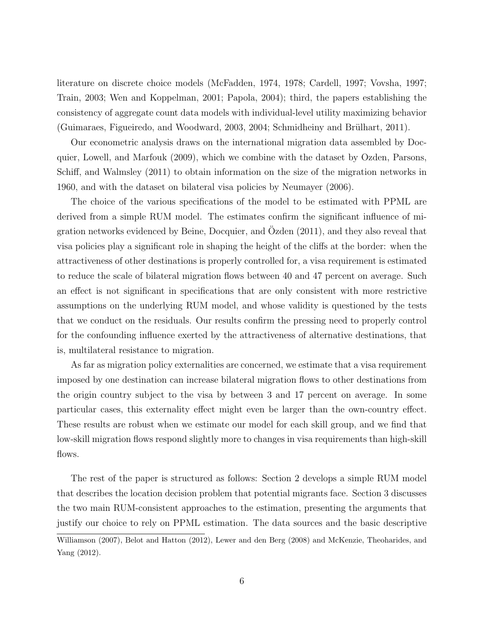literature on discrete choice models (McFadden, 1974, 1978; Cardell, 1997; Vovsha, 1997; Train, 2003; Wen and Koppelman, 2001; Papola, 2004); third, the papers establishing the consistency of aggregate count data models with individual-level utility maximizing behavior  $(Guimarae, Figureiredo, and Woodward, 2003, 2004; Schmidheiny and Brülhart, 2011).$ 

Our econometric analysis draws on the international migration data assembled by Docquier, Lowell, and Marfouk (2009), which we combine with the dataset by Ozden, Parsons, Schiff, and Walmsley (2011) to obtain information on the size of the migration networks in 1960, and with the dataset on bilateral visa policies by Neumayer (2006).

The choice of the various specifications of the model to be estimated with PPML are derived from a simple RUM model. The estimates confirm the significant influence of migration networks evidenced by Beine, Docquier, and Ozden  $(2011)$ , and they also reveal that visa policies play a significant role in shaping the height of the cliffs at the border: when the attractiveness of other destinations is properly controlled for, a visa requirement is estimated to reduce the scale of bilateral migration flows between 40 and 47 percent on average. Such an effect is not significant in specifications that are only consistent with more restrictive assumptions on the underlying RUM model, and whose validity is questioned by the tests that we conduct on the residuals. Our results confirm the pressing need to properly control for the confounding influence exerted by the attractiveness of alternative destinations, that is, multilateral resistance to migration.

As far as migration policy externalities are concerned, we estimate that a visa requirement imposed by one destination can increase bilateral migration flows to other destinations from the origin country subject to the visa by between 3 and 17 percent on average. In some particular cases, this externality effect might even be larger than the own-country effect. These results are robust when we estimate our model for each skill group, and we find that low-skill migration flows respond slightly more to changes in visa requirements than high-skill flows.

The rest of the paper is structured as follows: Section 2 develops a simple RUM model that describes the location decision problem that potential migrants face. Section 3 discusses the two main RUM-consistent approaches to the estimation, presenting the arguments that justify our choice to rely on PPML estimation. The data sources and the basic descriptive

Williamson (2007), Belot and Hatton (2012), Lewer and den Berg (2008) and McKenzie, Theoharides, and Yang (2012).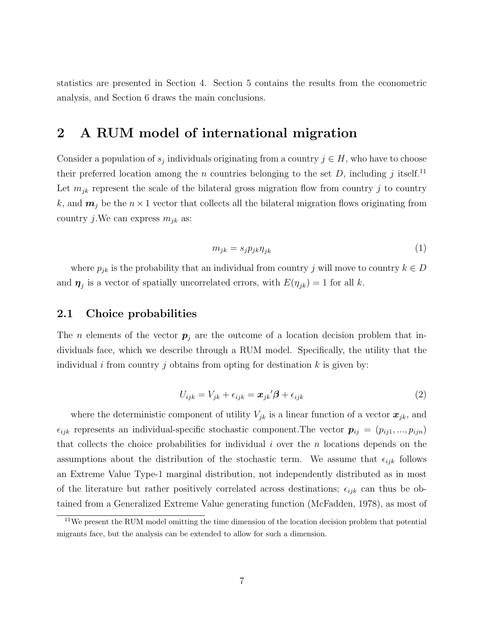statistics are presented in Section 4. Section 5 contains the results from the econometric analysis, and Section 6 draws the main conclusions.

### 2 A RUM model of international migration

Consider a population of  $s_j$  individuals originating from a country  $j \in H$ , who have to choose their preferred location among the n countries belonging to the set  $D$ , including j itself.<sup>11</sup> Let  $m_{ik}$  represent the scale of the bilateral gross migration flow from country j to country k, and  $m_j$  be the  $n \times 1$  vector that collects all the bilateral migration flows originating from country *j*. We can express  $m_{jk}$  as:

$$
m_{jk} = s_j p_{jk} \eta_{jk} \tag{1}
$$

where  $p_{jk}$  is the probability that an individual from country j will move to country  $k \in D$ and  $\eta_j$  is a vector of spatially uncorrelated errors, with  $E(\eta_{jk}) = 1$  for all k.

### 2.1 Choice probabilities

The *n* elements of the vector  $p_i$  are the outcome of a location decision problem that individuals face, which we describe through a RUM model. Specifically, the utility that the individual i from country j obtains from opting for destination k is given by:

$$
U_{ijk} = V_{jk} + \epsilon_{ijk} = \boldsymbol{x}_{jk}'\boldsymbol{\beta} + \epsilon_{ijk}
$$
\n(2)

where the deterministic component of utility  $V_{jk}$  is a linear function of a vector  $\boldsymbol{x}_{jk}$ , and  $\epsilon_{ijk}$  represents an individual-specific stochastic component. The vector  $p_{ij} = (p_{ij1},...,p_{ijn})$ that collects the choice probabilities for individual  $i$  over the  $n$  locations depends on the assumptions about the distribution of the stochastic term. We assume that  $\epsilon_{ijk}$  follows an Extreme Value Type-1 marginal distribution, not independently distributed as in most of the literature but rather positively correlated across destinations;  $\epsilon_{ijk}$  can thus be obtained from a Generalized Extreme Value generating function (McFadden, 1978), as most of

 $11$ We present the RUM model omitting the time dimension of the location decision problem that potential migrants face, but the analysis can be extended to allow for such a dimension.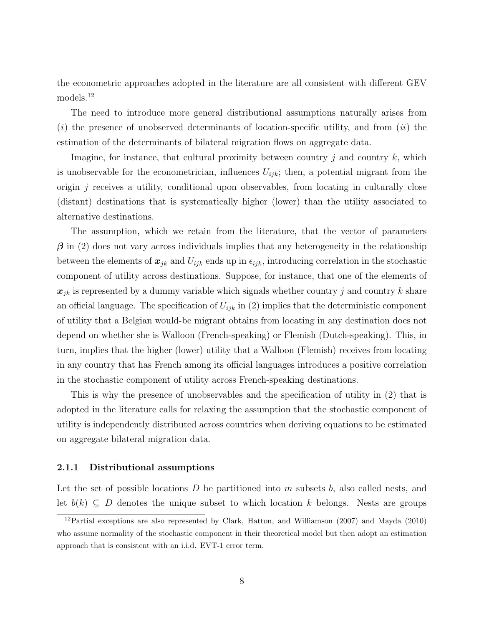the econometric approaches adopted in the literature are all consistent with different GEV models.<sup>12</sup>

The need to introduce more general distributional assumptions naturally arises from  $(i)$  the presence of unobserved determinants of location-specific utility, and from  $(ii)$  the estimation of the determinants of bilateral migration flows on aggregate data.

Imagine, for instance, that cultural proximity between country  $j$  and country  $k$ , which is unobservable for the econometrician, influences  $U_{ijk}$ ; then, a potential migrant from the origin  $j$  receives a utility, conditional upon observables, from locating in culturally close (distant) destinations that is systematically higher (lower) than the utility associated to alternative destinations.

The assumption, which we retain from the literature, that the vector of parameters  $\beta$  in (2) does not vary across individuals implies that any heterogeneity in the relationship between the elements of  $x_{jk}$  and  $U_{ijk}$  ends up in  $\epsilon_{ijk}$ , introducing correlation in the stochastic component of utility across destinations. Suppose, for instance, that one of the elements of  $x_{ik}$  is represented by a dummy variable which signals whether country j and country k share an official language. The specification of  $U_{ijk}$  in (2) implies that the deterministic component of utility that a Belgian would-be migrant obtains from locating in any destination does not depend on whether she is Walloon (French-speaking) or Flemish (Dutch-speaking). This, in turn, implies that the higher (lower) utility that a Walloon (Flemish) receives from locating in any country that has French among its official languages introduces a positive correlation in the stochastic component of utility across French-speaking destinations.

This is why the presence of unobservables and the specification of utility in (2) that is adopted in the literature calls for relaxing the assumption that the stochastic component of utility is independently distributed across countries when deriving equations to be estimated on aggregate bilateral migration data.

#### 2.1.1 Distributional assumptions

Let the set of possible locations  $D$  be partitioned into  $m$  subsets  $b$ , also called nests, and let  $b(k) \subseteq D$  denotes the unique subset to which location k belongs. Nests are groups

<sup>12</sup>Partial exceptions are also represented by Clark, Hatton, and Williamson (2007) and Mayda (2010) who assume normality of the stochastic component in their theoretical model but then adopt an estimation approach that is consistent with an i.i.d. EVT-1 error term.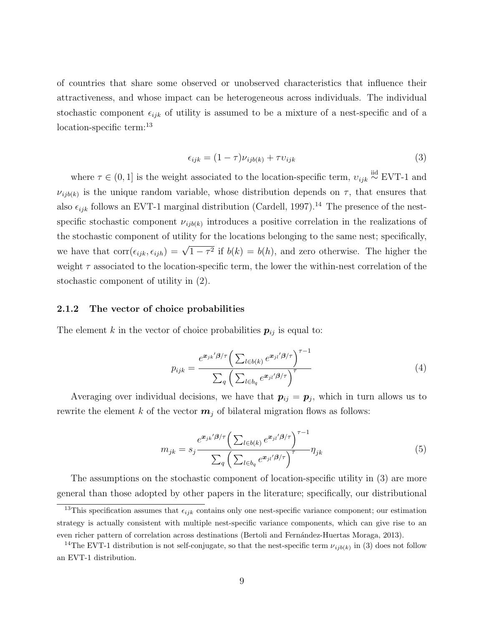of countries that share some observed or unobserved characteristics that influence their attractiveness, and whose impact can be heterogeneous across individuals. The individual stochastic component  $\epsilon_{ijk}$  of utility is assumed to be a mixture of a nest-specific and of a location-specific term:<sup>13</sup>

$$
\epsilon_{ijk} = (1 - \tau)\nu_{ijb(k)} + \tau v_{ijk} \tag{3}
$$

where  $\tau \in (0,1]$  is the weight associated to the location-specific term,  $v_{ijk} \stackrel{\text{iid}}{\sim}$  EVT-1 and  $\nu_{ijb(k)}$  is the unique random variable, whose distribution depends on  $\tau$ , that ensures that also  $\epsilon_{ijk}$  follows an EVT-1 marginal distribution (Cardell, 1997).<sup>14</sup> The presence of the nestspecific stochastic component  $\nu_{ijb(k)}$  introduces a positive correlation in the realizations of the stochastic component of utility for the locations belonging to the same nest; specifically, we have that  $\text{corr}(\epsilon_{ijk}, \epsilon_{ijh}) = \sqrt{1-\tau^2}$  if  $b(k) = b(h)$ , and zero otherwise. The higher the weight  $\tau$  associated to the location-specific term, the lower the within-nest correlation of the stochastic component of utility in (2).

#### 2.1.2 The vector of choice probabilities

The element k in the vector of choice probabilities  $p_{ij}$  is equal to:

$$
p_{ijk} = \frac{e^{\boldsymbol{x}_{jk}/\boldsymbol{\beta}/\tau} \left(\sum_{l \in b(k)} e^{\boldsymbol{x}_{jl}/\boldsymbol{\beta}/\tau}\right)^{\tau-1}}{\sum_{q} \left(\sum_{l \in b_{q}} e^{\boldsymbol{x}_{jl}/\boldsymbol{\beta}/\tau}\right)^{\tau}}
$$
(4)

Averaging over individual decisions, we have that  $p_{ij} = p_j$ , which in turn allows us to rewrite the element k of the vector  $m_i$  of bilateral migration flows as follows:

$$
m_{jk} = s_j \frac{e^{\boldsymbol{x}_{jk}/\beta/\tau} \left(\sum_{l \in b(k)} e^{\boldsymbol{x}_{jl}/\beta/\tau}\right)^{\tau-1}}{\sum_q \left(\sum_{l \in b_q} e^{\boldsymbol{x}_{jl}/\beta/\tau}\right)^{\tau}} \eta_{jk}
$$
\n
$$
(5)
$$

The assumptions on the stochastic component of location-specific utility in (3) are more general than those adopted by other papers in the literature; specifically, our distributional

<sup>&</sup>lt;sup>13</sup>This specification assumes that  $\epsilon_{ijk}$  contains only one nest-specific variance component; our estimation strategy is actually consistent with multiple nest-specific variance components, which can give rise to an even richer pattern of correlation across destinations (Bertoli and Fernández-Huertas Moraga, 2013).

<sup>&</sup>lt;sup>14</sup>The EVT-1 distribution is not self-conjugate, so that the nest-specific term  $\nu_{ijb(k)}$  in (3) does not follow an EVT-1 distribution.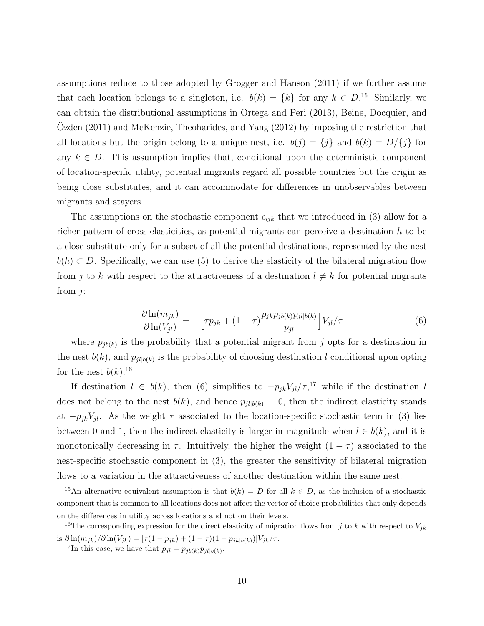assumptions reduce to those adopted by Grogger and Hanson (2011) if we further assume that each location belongs to a singleton, i.e.  $b(k) = \{k\}$  for any  $k \in D$ .<sup>15</sup> Similarly, we can obtain the distributional assumptions in Ortega and Peri (2013), Beine, Docquier, and Ozden  $(2011)$  and McKenzie, Theoharides, and Yang  $(2012)$  by imposing the restriction that all locations but the origin belong to a unique nest, i.e.  $b(j) = \{j\}$  and  $b(k) = D/\{j\}$  for any  $k \in D$ . This assumption implies that, conditional upon the deterministic component of location-specific utility, potential migrants regard all possible countries but the origin as being close substitutes, and it can accommodate for differences in unobservables between migrants and stayers.

The assumptions on the stochastic component  $\epsilon_{ijk}$  that we introduced in (3) allow for a richer pattern of cross-elasticities, as potential migrants can perceive a destination h to be a close substitute only for a subset of all the potential destinations, represented by the nest  $b(h) \subset D$ . Specifically, we can use (5) to derive the elasticity of the bilateral migration flow from j to k with respect to the attractiveness of a destination  $l \neq k$  for potential migrants from j:

$$
\frac{\partial \ln(m_{jk})}{\partial \ln(V_{jl})} = -\left[\tau p_{jk} + (1-\tau) \frac{p_{jk} p_{jb(k)} p_{jl|b(k)}}{p_{jl}}\right] V_{jl}/\tau
$$
\n(6)

where  $p_{jb(k)}$  is the probability that a potential migrant from j opts for a destination in the nest  $b(k)$ , and  $p_{jl|b(k)}$  is the probability of choosing destination l conditional upon opting for the nest  $b(k)$ .<sup>16</sup>

If destination  $l \in b(k)$ , then (6) simplifies to  $-p_{jk}V_{jl}/\tau$ ,<sup>17</sup> while if the destination l does not belong to the nest  $b(k)$ , and hence  $p_{jl|b(k)} = 0$ , then the indirect elasticity stands at  $-p_{jk}V_{jl}$ . As the weight  $\tau$  associated to the location-specific stochastic term in (3) lies between 0 and 1, then the indirect elasticity is larger in magnitude when  $l \in b(k)$ , and it is monotonically decreasing in  $\tau$ . Intuitively, the higher the weight  $(1 - \tau)$  associated to the nest-specific stochastic component in (3), the greater the sensitivity of bilateral migration flows to a variation in the attractiveness of another destination within the same nest.

<sup>&</sup>lt;sup>15</sup>An alternative equivalent assumption is that  $b(k) = D$  for all  $k \in D$ , as the inclusion of a stochastic component that is common to all locations does not affect the vector of choice probabilities that only depends on the differences in utility across locations and not on their levels.

<sup>&</sup>lt;sup>16</sup>The corresponding expression for the direct elasticity of migration flows from j to k with respect to  $V_{jk}$ is  $\partial \ln(m_{jk})/\partial \ln(V_{jk}) = [\tau (1 - p_{jk}) + (1 - \tau)(1 - p_{jk|b(k)})]V_{jk}/\tau.$ 

<sup>&</sup>lt;sup>17</sup>In this case, we have that  $p_{jl} = p_{jb(k)}p_{jl|b(k)}$ .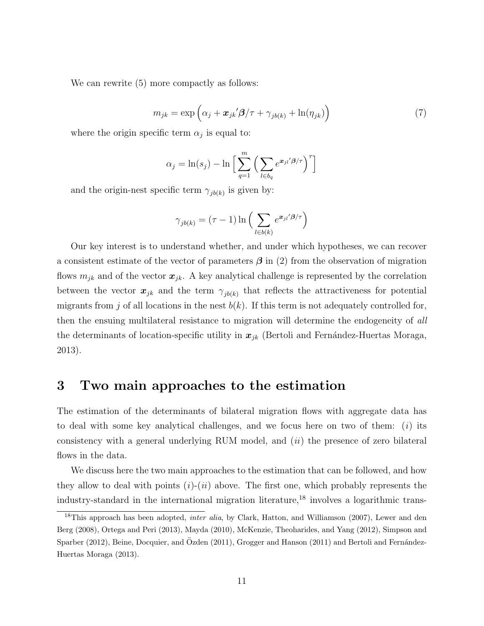We can rewrite (5) more compactly as follows:

$$
m_{jk} = \exp\left(\alpha_j + \boldsymbol{x}_{jk}\prime\boldsymbol{\beta}/\tau + \gamma_{jb(k)} + \ln(\eta_{jk})\right) \tag{7}
$$

where the origin specific term  $\alpha_j$  is equal to:

$$
\alpha_j = \ln(s_j) - \ln \Big[ \sum_{q=1}^m \Big( \sum_{l \in b_q} e^{\mathbf{x}_{jl} \cdot \mathbf{x}_{jl}} \Big)^{\tau} \Big]
$$

and the origin-nest specific term  $\gamma_{jb(k)}$  is given by:

$$
\gamma_{jb(k)} = (\tau - 1) \ln \left( \sum_{l \in b(k)} e^{\boldsymbol{x}_{jl} \cdot \boldsymbol{\beta} / \tau} \right)
$$

Our key interest is to understand whether, and under which hypotheses, we can recover a consistent estimate of the vector of parameters  $\beta$  in (2) from the observation of migration flows  $m_{jk}$  and of the vector  $x_{jk}$ . A key analytical challenge is represented by the correlation between the vector  $x_{jk}$  and the term  $\gamma_{jb(k)}$  that reflects the attractiveness for potential migrants from j of all locations in the nest  $b(k)$ . If this term is not adequately controlled for, then the ensuing multilateral resistance to migration will determine the endogeneity of all the determinants of location-specific utility in  $x_{ik}$  (Bertoli and Fernández-Huertas Moraga, 2013).

### 3 Two main approaches to the estimation

The estimation of the determinants of bilateral migration flows with aggregate data has to deal with some key analytical challenges, and we focus here on two of them:  $(i)$  its consistency with a general underlying RUM model, and  $(ii)$  the presence of zero bilateral flows in the data.

We discuss here the two main approaches to the estimation that can be followed, and how they allow to deal with points  $(i)-(ii)$  above. The first one, which probably represents the industry-standard in the international migration literature,<sup>18</sup> involves a logarithmic trans-

<sup>&</sup>lt;sup>18</sup>This approach has been adopted, *inter alia*, by Clark, Hatton, and Williamson (2007), Lewer and den Berg (2008), Ortega and Peri (2013), Mayda (2010), McKenzie, Theoharides, and Yang (2012), Simpson and Sparber (2012), Beine, Docquier, and Ozden (2011), Grogger and Hanson (2011) and Bertoli and Fernández-Huertas Moraga (2013).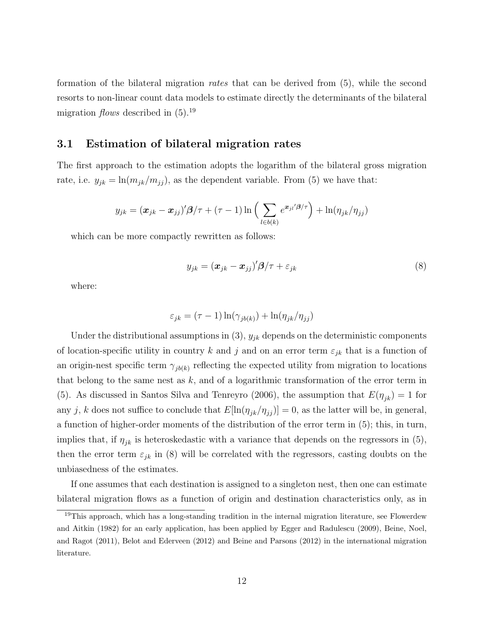formation of the bilateral migration rates that can be derived from (5), while the second resorts to non-linear count data models to estimate directly the determinants of the bilateral migration *flows* described in  $(5).^{19}$ 

### 3.1 Estimation of bilateral migration rates

The first approach to the estimation adopts the logarithm of the bilateral gross migration rate, i.e.  $y_{jk} = \ln(m_{jk}/m_{jj})$ , as the dependent variable. From (5) we have that:

$$
y_{jk} = (\boldsymbol{x}_{jk} - \boldsymbol{x}_{jj})'\boldsymbol{\beta}/\tau + (\tau - 1)\ln\left(\sum_{l \in b(k)} e^{\boldsymbol{x}_{jl}/\boldsymbol{\beta}/\tau}\right) + \ln(\eta_{jk}/\eta_{jj})
$$

which can be more compactly rewritten as follows:

$$
y_{jk} = (\boldsymbol{x}_{jk} - \boldsymbol{x}_{jj})' \boldsymbol{\beta} / \tau + \varepsilon_{jk}
$$
\n(8)

where:

$$
\varepsilon_{jk} = (\tau - 1) \ln(\gamma_{jb(k)}) + \ln(\eta_{jk}/\eta_{jj})
$$

Under the distributional assumptions in  $(3)$ ,  $y_{jk}$  depends on the deterministic components of location-specific utility in country k and j and on an error term  $\varepsilon_{jk}$  that is a function of an origin-nest specific term  $\gamma_{jb(k)}$  reflecting the expected utility from migration to locations that belong to the same nest as  $k$ , and of a logarithmic transformation of the error term in (5). As discussed in Santos Silva and Tenreyro (2006), the assumption that  $E(\eta_{jk}) = 1$  for any j, k does not suffice to conclude that  $E[\ln(\eta_{jk}/\eta_{jj})] = 0$ , as the latter will be, in general, a function of higher-order moments of the distribution of the error term in (5); this, in turn, implies that, if  $\eta_{jk}$  is heteroskedastic with a variance that depends on the regressors in (5), then the error term  $\varepsilon_{jk}$  in (8) will be correlated with the regressors, casting doubts on the unbiasedness of the estimates.

If one assumes that each destination is assigned to a singleton nest, then one can estimate bilateral migration flows as a function of origin and destination characteristics only, as in

<sup>&</sup>lt;sup>19</sup>This approach, which has a long-standing tradition in the internal migration literature, see Flowerdew and Aitkin (1982) for an early application, has been applied by Egger and Radulescu (2009), Beine, Noel, and Ragot (2011), Belot and Ederveen (2012) and Beine and Parsons (2012) in the international migration literature.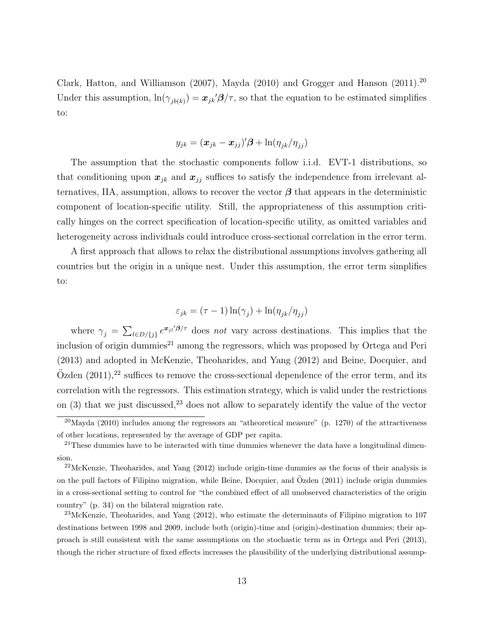Clark, Hatton, and Williamson (2007), Mayda (2010) and Grogger and Hanson (2011).<sup>20</sup> Under this assumption,  $\ln(\gamma_{jb(k)}) = x_{jk'}\beta/\tau$ , so that the equation to be estimated simplifies to:

$$
y_{jk} = (\boldsymbol{x}_{jk} - \boldsymbol{x}_{jj})'\boldsymbol{\beta} + \ln(\eta_{jk}/\eta_{jj})
$$

The assumption that the stochastic components follow i.i.d. EVT-1 distributions, so that conditioning upon  $x_{jk}$  and  $x_{jj}$  suffices to satisfy the independence from irrelevant alternatives, IIA, assumption, allows to recover the vector  $\beta$  that appears in the deterministic component of location-specific utility. Still, the appropriateness of this assumption critically hinges on the correct specification of location-specific utility, as omitted variables and heterogeneity across individuals could introduce cross-sectional correlation in the error term.

A first approach that allows to relax the distributional assumptions involves gathering all countries but the origin in a unique nest. Under this assumption, the error term simplifies to:

$$
\varepsilon_{jk} = (\tau - 1) \ln(\gamma_j) + \ln(\eta_{jk}/\eta_{jj})
$$

where  $\gamma_j = \sum_{l \in D/\{j\}} e^{\mathbf{x}_{jl}/\beta/\tau}$  does not vary across destinations. This implies that the inclusion of origin dummies<sup>21</sup> among the regressors, which was proposed by Ortega and Peri (2013) and adopted in McKenzie, Theoharides, and Yang (2012) and Beine, Docquier, and  $\ddot{\text{O}}$ zden (2011),<sup>22</sup> suffices to remove the cross-sectional dependence of the error term, and its correlation with the regressors. This estimation strategy, which is valid under the restrictions on  $(3)$  that we just discussed,<sup>23</sup> does not allow to separately identify the value of the vector

 $^{20}$ Mayda (2010) includes among the regressors an "atheoretical measure" (p. 1270) of the attractiveness of other locations, represented by the average of GDP per capita.

 $21$ These dummies have to be interacted with time dummies whenever the data have a longitudinal dimension.

 $^{22}$ McKenzie, Theoharides, and Yang (2012) include origin-time dummies as the focus of their analysis is on the pull factors of Filipino migration, while Beine, Docquier, and Özden (2011) include origin dummies in a cross-sectional setting to control for "the combined effect of all unobserved characteristics of the origin country" (p. 34) on the bilateral migration rate.

<sup>&</sup>lt;sup>23</sup>McKenzie, Theoharides, and Yang  $(2012)$ , who estimate the determinants of Filipino migration to 107 destinations between 1998 and 2009, include both (origin)-time and (origin)-destination dummies; their approach is still consistent with the same assumptions on the stochastic term as in Ortega and Peri (2013), though the richer structure of fixed effects increases the plausibility of the underlying distributional assump-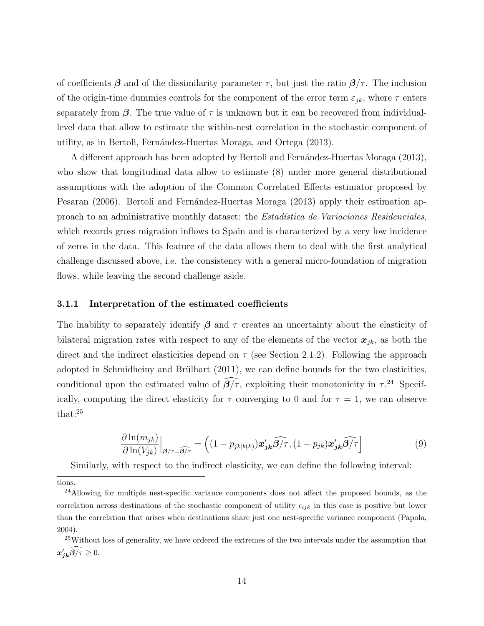of coefficients  $\beta$  and of the dissimilarity parameter  $\tau$ , but just the ratio  $\beta/\tau$ . The inclusion of the origin-time dummies controls for the component of the error term  $\varepsilon_{jk}$ , where  $\tau$  enters separately from  $\beta$ . The true value of  $\tau$  is unknown but it can be recovered from individuallevel data that allow to estimate the within-nest correlation in the stochastic component of utility, as in Bertoli, Fernández-Huertas Moraga, and Ortega (2013).

A different approach has been adopted by Bertoli and Fernández-Huertas Moraga (2013), who show that longitudinal data allow to estimate (8) under more general distributional assumptions with the adoption of the Common Correlated Effects estimator proposed by Pesaran (2006). Bertoli and Fernández-Huertas Moraga (2013) apply their estimation approach to an administrative monthly dataset: the *Estadística de Variaciones Residenciales*, which records gross migration inflows to Spain and is characterized by a very low incidence of zeros in the data. This feature of the data allows them to deal with the first analytical challenge discussed above, i.e. the consistency with a general micro-foundation of migration flows, while leaving the second challenge aside.

#### 3.1.1 Interpretation of the estimated coefficients

The inability to separately identify  $\beta$  and  $\tau$  creates an uncertainty about the elasticity of bilateral migration rates with respect to any of the elements of the vector  $x_{ik}$ , as both the direct and the indirect elasticities depend on  $\tau$  (see Section 2.1.2). Following the approach adopted in Schmidheiny and Brülhart  $(2011)$ , we can define bounds for the two elasticities, conditional upon the estimated value of  $\beta/\tau$ , exploiting their monotonicity in  $\tau$ <sup>24</sup> Specifically, computing the direct elasticity for  $\tau$  converging to 0 and for  $\tau = 1$ , we can observe that:<sup>25</sup>

$$
\frac{\partial \ln(m_{jk})}{\partial \ln(V_{jk})}\Big|_{\beta/\tau=\widehat{\beta/\tau}} = \left( (1 - p_{jk|b(k)}) \mathbf{x}_{jk}' \widehat{\beta/\tau}, (1 - p_{jk}) \mathbf{x}_{jk}' \widehat{\beta/\tau} \right]
$$
(9)

Similarly, with respect to the indirect elasticity, we can define the following interval:

tions.

<sup>&</sup>lt;sup>24</sup>Allowing for multiple nest-specific variance components does not affect the proposed bounds, as the correlation across destinations of the stochastic component of utility  $\epsilon_{ijk}$  in this case is positive but lower than the correlation that arises when destinations share just one nest-specific variance component (Papola, 2004).

<sup>&</sup>lt;sup>25</sup>Without loss of generality, we have ordered the extremes of the two intervals under the assumption that  $x'_{j\boldsymbol{k}}\boldsymbol{\beta}/\tau\geq 0.$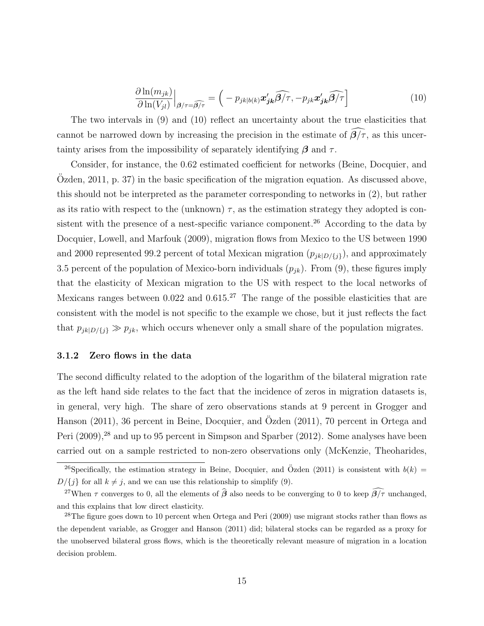$$
\frac{\partial \ln(m_{jk})}{\partial \ln(V_{jl})}\Big|_{\beta/\tau=\widehat{\beta/\tau}} = \left(-p_{jk|b(k)}\mathbf{x}_{jk}'\widehat{\beta/\tau}, -p_{jk}\mathbf{x}_{jk}'\widehat{\beta/\tau}\right]
$$
(10)

The two intervals in (9) and (10) reflect an uncertainty about the true elasticities that cannot be narrowed down by increasing the precision in the estimate of  $\beta/\tau$ , as this uncertainty arises from the impossibility of separately identifying  $\beta$  and  $\tau$ .

Consider, for instance, the 0.62 estimated coefficient for networks (Beine, Docquier, and Ozden,  $2011$ , p. 37) in the basic specification of the migration equation. As discussed above, this should not be interpreted as the parameter corresponding to networks in (2), but rather as its ratio with respect to the (unknown)  $\tau$ , as the estimation strategy they adopted is consistent with the presence of a nest-specific variance component.<sup>26</sup> According to the data by Docquier, Lowell, and Marfouk (2009), migration flows from Mexico to the US between 1990 and 2000 represented 99.2 percent of total Mexican migration  $(p_{ik|D/\{i\}})$ , and approximately 3.5 percent of the population of Mexico-born individuals  $(p_{jk})$ . From (9), these figures imply that the elasticity of Mexican migration to the US with respect to the local networks of Mexicans ranges between  $0.022$  and  $0.615<sup>27</sup>$  The range of the possible elasticities that are consistent with the model is not specific to the example we chose, but it just reflects the fact that  $p_{jk|D/\{j\}} \gg p_{jk}$ , which occurs whenever only a small share of the population migrates.

#### 3.1.2 Zero flows in the data

The second difficulty related to the adoption of the logarithm of the bilateral migration rate as the left hand side relates to the fact that the incidence of zeros in migration datasets is, in general, very high. The share of zero observations stands at 9 percent in Grogger and Hanson (2011), 36 percent in Beine, Docquier, and Özden (2011), 70 percent in Ortega and Peri (2009),<sup>28</sup> and up to 95 percent in Simpson and Sparber (2012). Some analyses have been carried out on a sample restricted to non-zero observations only (McKenzie, Theoharides,

<sup>&</sup>lt;sup>26</sup>Specifically, the estimation strategy in Beine, Docquier, and Özden (2011) is consistent with  $b(k)$  $D/\{j\}$  for all  $k \neq j$ , and we can use this relationship to simplify (9).

<sup>&</sup>lt;sup>27</sup>When  $\tau$  converges to 0, all the elements of  $\hat{\boldsymbol{\beta}}$  also needs to be converging to 0 to keep  $\widehat{\boldsymbol{\beta}/\tau}$  unchanged, and this explains that low direct elasticity.

 $28$ The figure goes down to 10 percent when Ortega and Peri (2009) use migrant stocks rather than flows as the dependent variable, as Grogger and Hanson (2011) did; bilateral stocks can be regarded as a proxy for the unobserved bilateral gross flows, which is the theoretically relevant measure of migration in a location decision problem.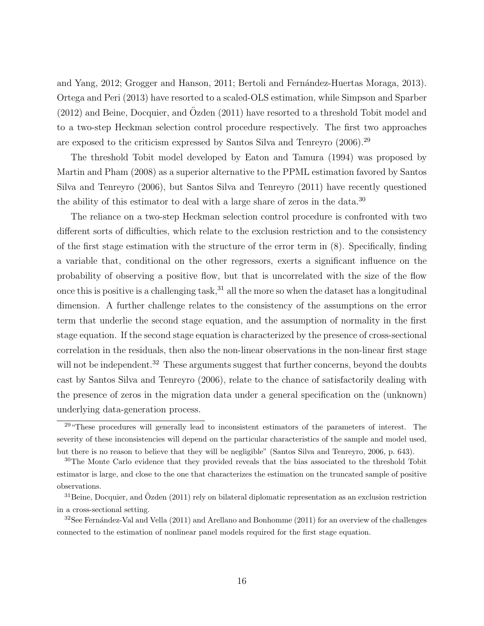and Yang, 2012; Grogger and Hanson, 2011; Bertoli and Fernández-Huertas Moraga, 2013). Ortega and Peri (2013) have resorted to a scaled-OLS estimation, while Simpson and Sparber  $(2012)$  and Beine, Docquier, and Ozden  $(2011)$  have resorted to a threshold Tobit model and to a two-step Heckman selection control procedure respectively. The first two approaches are exposed to the criticism expressed by Santos Silva and Tenreyro (2006).<sup>29</sup>

The threshold Tobit model developed by Eaton and Tamura (1994) was proposed by Martin and Pham (2008) as a superior alternative to the PPML estimation favored by Santos Silva and Tenreyro (2006), but Santos Silva and Tenreyro (2011) have recently questioned the ability of this estimator to deal with a large share of zeros in the data.<sup>30</sup>

The reliance on a two-step Heckman selection control procedure is confronted with two different sorts of difficulties, which relate to the exclusion restriction and to the consistency of the first stage estimation with the structure of the error term in (8). Specifically, finding a variable that, conditional on the other regressors, exerts a significant influence on the probability of observing a positive flow, but that is uncorrelated with the size of the flow once this is positive is a challenging task,  $31$  all the more so when the dataset has a longitudinal dimension. A further challenge relates to the consistency of the assumptions on the error term that underlie the second stage equation, and the assumption of normality in the first stage equation. If the second stage equation is characterized by the presence of cross-sectional correlation in the residuals, then also the non-linear observations in the non-linear first stage will not be independent.<sup>32</sup> These arguments suggest that further concerns, beyond the doubts cast by Santos Silva and Tenreyro (2006), relate to the chance of satisfactorily dealing with the presence of zeros in the migration data under a general specification on the (unknown) underlying data-generation process.

<sup>&</sup>lt;sup>29</sup> "These procedures will generally lead to inconsistent estimators of the parameters of interest. The severity of these inconsistencies will depend on the particular characteristics of the sample and model used, but there is no reason to believe that they will be negligible" (Santos Silva and Tenreyro, 2006, p. 643).

<sup>&</sup>lt;sup>30</sup>The Monte Carlo evidence that they provided reveals that the bias associated to the threshold Tobit estimator is large, and close to the one that characterizes the estimation on the truncated sample of positive observations.

 $31$ Beine, Docquier, and Özden (2011) rely on bilateral diplomatic representation as an exclusion restriction in a cross-sectional setting.

 $32$ See Fernández-Val and Vella (2011) and Arellano and Bonhomme (2011) for an overview of the challenges connected to the estimation of nonlinear panel models required for the first stage equation.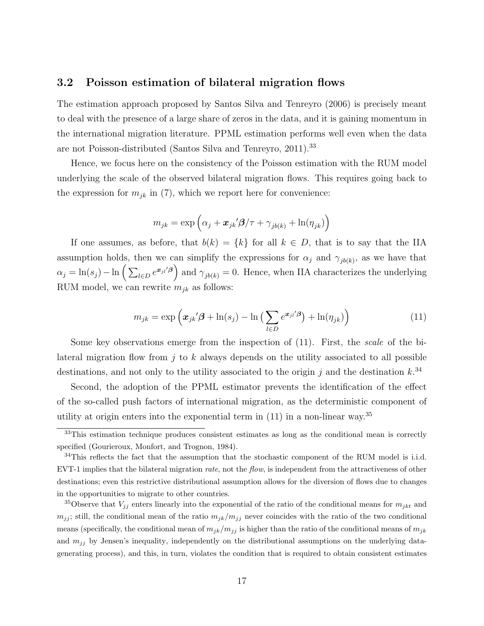### 3.2 Poisson estimation of bilateral migration flows

The estimation approach proposed by Santos Silva and Tenreyro (2006) is precisely meant to deal with the presence of a large share of zeros in the data, and it is gaining momentum in the international migration literature. PPML estimation performs well even when the data are not Poisson-distributed (Santos Silva and Tenreyro, 2011).<sup>33</sup>

Hence, we focus here on the consistency of the Poisson estimation with the RUM model underlying the scale of the observed bilateral migration flows. This requires going back to the expression for  $m_{jk}$  in (7), which we report here for convenience:

$$
m_{jk} = \exp\left(\alpha_j + \boldsymbol{x}_{jk}^{\prime} \boldsymbol{\beta}/\tau + \gamma_{jb(k)} + \ln(\eta_{jk})\right)
$$

If one assumes, as before, that  $b(k) = \{k\}$  for all  $k \in D$ , that is to say that the IIA assumption holds, then we can simplify the expressions for  $\alpha_j$  and  $\gamma_{jb(k)}$ , as we have that  $\alpha_j = \ln(s_j) - \ln\left(\sum_{l \in D} e^{x_{jl}/\beta}\right)$  and  $\gamma_{jb(k)} = 0$ . Hence, when IIA characterizes the underlying RUM model, we can rewrite  $m_{jk}$  as follows:

$$
m_{jk} = \exp\left(\boldsymbol{x}_{jk}'\boldsymbol{\beta} + \ln(s_j) - \ln\left(\sum_{l \in D} e^{\boldsymbol{x}_{jl}'\boldsymbol{\beta}}\right) + \ln(\eta_{jk})\right)
$$
(11)

Some key observations emerge from the inspection of  $(11)$ . First, the *scale* of the bilateral migration flow from j to k always depends on the utility associated to all possible destinations, and not only to the utility associated to the origin j and the destination  $k^{34}$ 

Second, the adoption of the PPML estimator prevents the identification of the effect of the so-called push factors of international migration, as the deterministic component of utility at origin enters into the exponential term in  $(11)$  in a non-linear way.<sup>35</sup>

<sup>&</sup>lt;sup>33</sup>This estimation technique produces consistent estimates as long as the conditional mean is correctly specified (Gourieroux, Monfort, and Trognon, 1984).

 $34$ This reflects the fact that the assumption that the stochastic component of the RUM model is i.i.d. EVT-1 implies that the bilateral migration *rate*, not the *flow*, is independent from the attractiveness of other destinations; even this restrictive distributional assumption allows for the diversion of flows due to changes in the opportunities to migrate to other countries.

<sup>&</sup>lt;sup>35</sup>Observe that  $V_{jj}$  enters linearly into the exponential of the ratio of the conditional means for  $m_{jkt}$  and  $m_{jj}$ ; still, the conditional mean of the ratio  $m_{jk}/m_{jj}$  never coincides with the ratio of the two conditional means (specifically, the conditional mean of  $m_{jk}/m_{jj}$  is higher than the ratio of the conditional means of  $m_{jk}$ and  $m_{jj}$  by Jensen's inequality, independently on the distributional assumptions on the underlying datagenerating process), and this, in turn, violates the condition that is required to obtain consistent estimates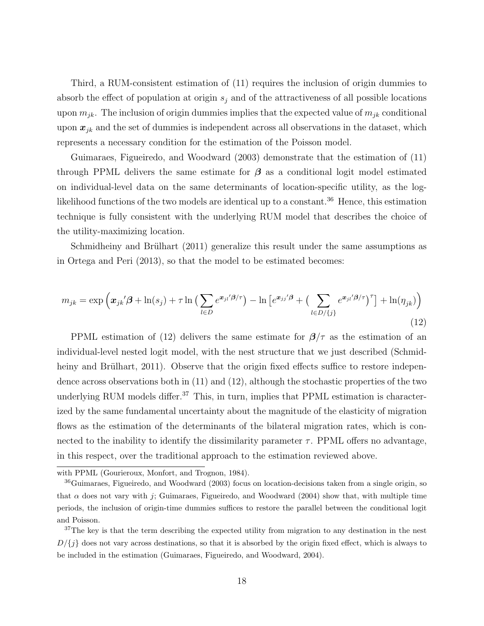Third, a RUM-consistent estimation of (11) requires the inclusion of origin dummies to absorb the effect of population at origin  $s_j$  and of the attractiveness of all possible locations upon  $m_{jk}$ . The inclusion of origin dummies implies that the expected value of  $m_{jk}$  conditional upon  $x_{ik}$  and the set of dummies is independent across all observations in the dataset, which represents a necessary condition for the estimation of the Poisson model.

Guimaraes, Figueiredo, and Woodward (2003) demonstrate that the estimation of (11) through PPML delivers the same estimate for  $\beta$  as a conditional logit model estimated on individual-level data on the same determinants of location-specific utility, as the loglikelihood functions of the two models are identical up to a constant.<sup>36</sup> Hence, this estimation technique is fully consistent with the underlying RUM model that describes the choice of the utility-maximizing location.

Schmidheiny and Brülhart (2011) generalize this result under the same assumptions as in Ortega and Peri (2013), so that the model to be estimated becomes:

$$
m_{jk} = \exp\left(\boldsymbol{x}_{jk}\mathbf{\beta} + \ln(s_j) + \tau \ln\left(\sum_{l \in D} e^{\boldsymbol{x}_{jl}\mathbf{\beta}/\tau}\right) - \ln\left[e^{\boldsymbol{x}_{jj}\mathbf{\beta}} + \left(\sum_{l \in D/\{j\}} e^{\boldsymbol{x}_{jl}\mathbf{\beta}/\tau}\right)^{\tau}\right] + \ln(\eta_{jk})\right)
$$
(12)

PPML estimation of (12) delivers the same estimate for  $\beta/\tau$  as the estimation of an individual-level nested logit model, with the nest structure that we just described (Schmidheiny and Brülhart, 2011). Observe that the origin fixed effects suffice to restore independence across observations both in (11) and (12), although the stochastic properties of the two underlying RUM models differ.<sup>37</sup> This, in turn, implies that PPML estimation is characterized by the same fundamental uncertainty about the magnitude of the elasticity of migration flows as the estimation of the determinants of the bilateral migration rates, which is connected to the inability to identify the dissimilarity parameter  $\tau$ . PPML offers no advantage, in this respect, over the traditional approach to the estimation reviewed above.

with PPML (Gourieroux, Monfort, and Trognon, 1984).

<sup>36</sup>Guimaraes, Figueiredo, and Woodward (2003) focus on location-decisions taken from a single origin, so that  $\alpha$  does not vary with j; Guimaraes, Figueiredo, and Woodward (2004) show that, with multiple time periods, the inclusion of origin-time dummies suffices to restore the parallel between the conditional logit and Poisson.

 $37$ The key is that the term describing the expected utility from migration to any destination in the nest  $D/\{j\}$  does not vary across destinations, so that it is absorbed by the origin fixed effect, which is always to be included in the estimation (Guimaraes, Figueiredo, and Woodward, 2004).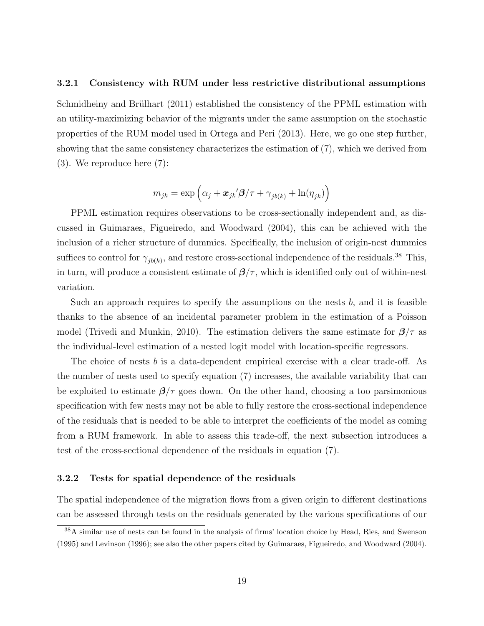#### 3.2.1 Consistency with RUM under less restrictive distributional assumptions

Schmidheiny and Brülhart (2011) established the consistency of the PPML estimation with an utility-maximizing behavior of the migrants under the same assumption on the stochastic properties of the RUM model used in Ortega and Peri (2013). Here, we go one step further, showing that the same consistency characterizes the estimation of (7), which we derived from (3). We reproduce here (7):

$$
m_{jk} = \exp\left(\alpha_j + \boldsymbol{x}_{jk}^{\prime} \boldsymbol{\beta}/\tau + \gamma_{jb(k)} + \ln(\eta_{jk})\right)
$$

PPML estimation requires observations to be cross-sectionally independent and, as discussed in Guimaraes, Figueiredo, and Woodward (2004), this can be achieved with the inclusion of a richer structure of dummies. Specifically, the inclusion of origin-nest dummies suffices to control for  $\gamma_{jb(k)}$ , and restore cross-sectional independence of the residuals.<sup>38</sup> This, in turn, will produce a consistent estimate of  $\beta/\tau$ , which is identified only out of within-nest variation.

Such an approach requires to specify the assumptions on the nests  $b$ , and it is feasible thanks to the absence of an incidental parameter problem in the estimation of a Poisson model (Trivedi and Munkin, 2010). The estimation delivers the same estimate for  $\beta/\tau$  as the individual-level estimation of a nested logit model with location-specific regressors.

The choice of nests b is a data-dependent empirical exercise with a clear trade-off. As the number of nests used to specify equation (7) increases, the available variability that can be exploited to estimate  $\beta/\tau$  goes down. On the other hand, choosing a too parsimonious specification with few nests may not be able to fully restore the cross-sectional independence of the residuals that is needed to be able to interpret the coefficients of the model as coming from a RUM framework. In able to assess this trade-off, the next subsection introduces a test of the cross-sectional dependence of the residuals in equation (7).

#### 3.2.2 Tests for spatial dependence of the residuals

The spatial independence of the migration flows from a given origin to different destinations can be assessed through tests on the residuals generated by the various specifications of our

<sup>38</sup>A similar use of nests can be found in the analysis of firms' location choice by Head, Ries, and Swenson (1995) and Levinson (1996); see also the other papers cited by Guimaraes, Figueiredo, and Woodward (2004).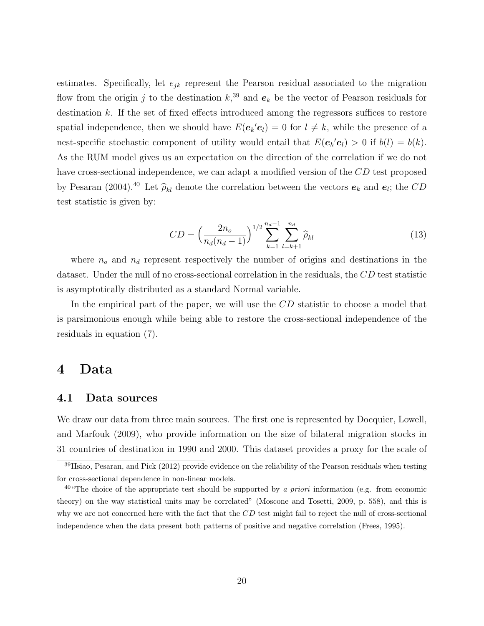estimates. Specifically, let  $e_{jk}$  represent the Pearson residual associated to the migration flow from the origin j to the destination  $k$ <sup>39</sup>, and  $e_k$  be the vector of Pearson residuals for destination k. If the set of fixed effects introduced among the regressors suffices to restore spatial independence, then we should have  $E(e_k'e_l) = 0$  for  $l \neq k$ , while the presence of a nest-specific stochastic component of utility would entail that  $E(e_k'e_l) > 0$  if  $b(l) = b(k)$ . As the RUM model gives us an expectation on the direction of the correlation if we do not have cross-sectional independence, we can adapt a modified version of the CD test proposed by Pesaran (2004).<sup>40</sup> Let  $\hat{\rho}_{kl}$  denote the correlation between the vectors  $e_k$  and  $e_l$ ; the  $CD$ test statistic is given by:

$$
CD = \left(\frac{2n_o}{n_d(n_d - 1)}\right)^{1/2} \sum_{k=1}^{n_d - 1} \sum_{l=k+1}^{n_d} \widehat{\rho}_{kl} \tag{13}
$$

where  $n_o$  and  $n_d$  represent respectively the number of origins and destinations in the dataset. Under the null of no cross-sectional correlation in the residuals, the CD test statistic is asymptotically distributed as a standard Normal variable.

In the empirical part of the paper, we will use the CD statistic to choose a model that is parsimonious enough while being able to restore the cross-sectional independence of the residuals in equation (7).

### 4 Data

#### 4.1 Data sources

We draw our data from three main sources. The first one is represented by Docquier, Lowell, and Marfouk (2009), who provide information on the size of bilateral migration stocks in 31 countries of destination in 1990 and 2000. This dataset provides a proxy for the scale of

<sup>39</sup>Hsiao, Pesaran, and Pick (2012) provide evidence on the reliability of the Pearson residuals when testing for cross-sectional dependence in non-linear models.

<sup>&</sup>lt;sup>40</sup> The choice of the appropriate test should be supported by a priori information (e.g. from economic theory) on the way statistical units may be correlated" (Moscone and Tosetti, 2009, p. 558), and this is why we are not concerned here with the fact that the CD test might fail to reject the null of cross-sectional independence when the data present both patterns of positive and negative correlation (Frees, 1995).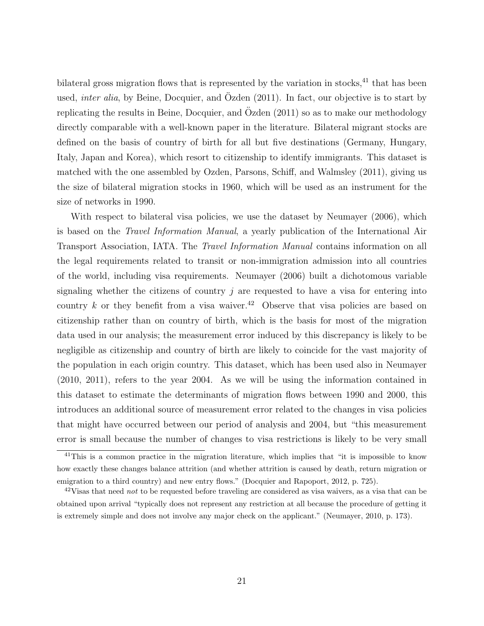bilateral gross migration flows that is represented by the variation in stocks, $41$  that has been used, *inter alia*, by Beine, Docquier, and  $Ozden (2011)$ . In fact, our objective is to start by replicating the results in Beine, Docquier, and Ozden  $(2011)$  so as to make our methodology directly comparable with a well-known paper in the literature. Bilateral migrant stocks are defined on the basis of country of birth for all but five destinations (Germany, Hungary, Italy, Japan and Korea), which resort to citizenship to identify immigrants. This dataset is matched with the one assembled by Ozden, Parsons, Schiff, and Walmsley (2011), giving us the size of bilateral migration stocks in 1960, which will be used as an instrument for the size of networks in 1990.

With respect to bilateral visa policies, we use the dataset by Neumayer (2006), which is based on the Travel Information Manual, a yearly publication of the International Air Transport Association, IATA. The Travel Information Manual contains information on all the legal requirements related to transit or non-immigration admission into all countries of the world, including visa requirements. Neumayer (2006) built a dichotomous variable signaling whether the citizens of country  $j$  are requested to have a visa for entering into country  $k$  or they benefit from a visa waiver.<sup>42</sup> Observe that visa policies are based on citizenship rather than on country of birth, which is the basis for most of the migration data used in our analysis; the measurement error induced by this discrepancy is likely to be negligible as citizenship and country of birth are likely to coincide for the vast majority of the population in each origin country. This dataset, which has been used also in Neumayer (2010, 2011), refers to the year 2004. As we will be using the information contained in this dataset to estimate the determinants of migration flows between 1990 and 2000, this introduces an additional source of measurement error related to the changes in visa policies that might have occurred between our period of analysis and 2004, but "this measurement error is small because the number of changes to visa restrictions is likely to be very small

<sup>&</sup>lt;sup>41</sup>This is a common practice in the migration literature, which implies that "it is impossible to know how exactly these changes balance attrition (and whether attrition is caused by death, return migration or emigration to a third country) and new entry flows." (Docquier and Rapoport, 2012, p. 725).

 $42$ Visas that need not to be requested before traveling are considered as visa waivers, as a visa that can be obtained upon arrival "typically does not represent any restriction at all because the procedure of getting it is extremely simple and does not involve any major check on the applicant." (Neumayer, 2010, p. 173).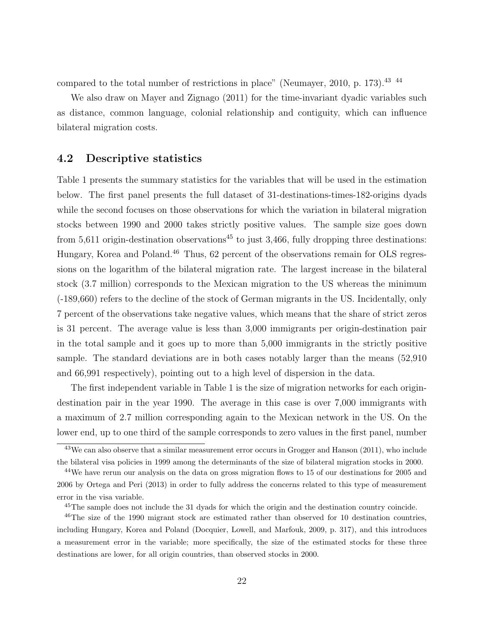compared to the total number of restrictions in place" (Neumayer, 2010, p. 173).43 44

We also draw on Mayer and Zignago (2011) for the time-invariant dyadic variables such as distance, common language, colonial relationship and contiguity, which can influence bilateral migration costs.

### 4.2 Descriptive statistics

Table 1 presents the summary statistics for the variables that will be used in the estimation below. The first panel presents the full dataset of 31-destinations-times-182-origins dyads while the second focuses on those observations for which the variation in bilateral migration stocks between 1990 and 2000 takes strictly positive values. The sample size goes down from 5,611 origin-destination observations<sup>45</sup> to just 3,466, fully dropping three destinations: Hungary, Korea and Poland.<sup>46</sup> Thus, 62 percent of the observations remain for OLS regressions on the logarithm of the bilateral migration rate. The largest increase in the bilateral stock (3.7 million) corresponds to the Mexican migration to the US whereas the minimum (-189,660) refers to the decline of the stock of German migrants in the US. Incidentally, only 7 percent of the observations take negative values, which means that the share of strict zeros is 31 percent. The average value is less than 3,000 immigrants per origin-destination pair in the total sample and it goes up to more than 5,000 immigrants in the strictly positive sample. The standard deviations are in both cases notably larger than the means (52,910 and 66,991 respectively), pointing out to a high level of dispersion in the data.

The first independent variable in Table 1 is the size of migration networks for each origindestination pair in the year 1990. The average in this case is over 7,000 immigrants with a maximum of 2.7 million corresponding again to the Mexican network in the US. On the lower end, up to one third of the sample corresponds to zero values in the first panel, number

<sup>&</sup>lt;sup>43</sup>We can also observe that a similar measurement error occurs in Grogger and Hanson (2011), who include the bilateral visa policies in 1999 among the determinants of the size of bilateral migration stocks in 2000.

<sup>&</sup>lt;sup>44</sup>We have rerun our analysis on the data on gross migration flows to 15 of our destinations for 2005 and 2006 by Ortega and Peri (2013) in order to fully address the concerns related to this type of measurement error in the visa variable.

<sup>45</sup>The sample does not include the 31 dyads for which the origin and the destination country coincide.

 $^{46}$ The size of the 1990 migrant stock are estimated rather than observed for 10 destination countries, including Hungary, Korea and Poland (Docquier, Lowell, and Marfouk, 2009, p. 317), and this introduces a measurement error in the variable; more specifically, the size of the estimated stocks for these three destinations are lower, for all origin countries, than observed stocks in 2000.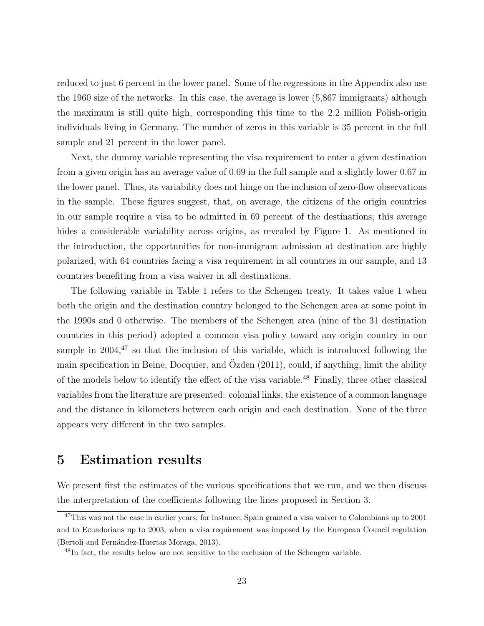reduced to just 6 percent in the lower panel. Some of the regressions in the Appendix also use the 1960 size of the networks. In this case, the average is lower (5,867 immigrants) although the maximum is still quite high, corresponding this time to the 2.2 million Polish-origin individuals living in Germany. The number of zeros in this variable is 35 percent in the full sample and 21 percent in the lower panel.

Next, the dummy variable representing the visa requirement to enter a given destination from a given origin has an average value of 0.69 in the full sample and a slightly lower 0.67 in the lower panel. Thus, its variability does not hinge on the inclusion of zero-flow observations in the sample. These figures suggest, that, on average, the citizens of the origin countries in our sample require a visa to be admitted in 69 percent of the destinations; this average hides a considerable variability across origins, as revealed by Figure 1. As mentioned in the introduction, the opportunities for non-immigrant admission at destination are highly polarized, with 64 countries facing a visa requirement in all countries in our sample, and 13 countries benefiting from a visa waiver in all destinations.

The following variable in Table 1 refers to the Schengen treaty. It takes value 1 when both the origin and the destination country belonged to the Schengen area at some point in the 1990s and 0 otherwise. The members of the Schengen area (nine of the 31 destination countries in this period) adopted a common visa policy toward any origin country in our sample in  $2004<sup>47</sup>$  so that the inclusion of this variable, which is introduced following the main specification in Beine, Docquier, and  $\ddot{O}zden$  (2011), could, if anything, limit the ability of the models below to identify the effect of the visa variable.<sup>48</sup> Finally, three other classical variables from the literature are presented: colonial links, the existence of a common language and the distance in kilometers between each origin and each destination. None of the three appears very different in the two samples.

### 5 Estimation results

We present first the estimates of the various specifications that we run, and we then discuss the interpretation of the coefficients following the lines proposed in Section 3.

<sup>&</sup>lt;sup>47</sup>This was not the case in earlier years; for instance, Spain granted a visa waiver to Colombians up to 2001 and to Ecuadorians up to 2003, when a visa requirement was imposed by the European Council regulation (Bertoli and Fernández-Huertas Moraga, 2013).

<sup>&</sup>lt;sup>48</sup>In fact, the results below are not sensitive to the exclusion of the Schengen variable.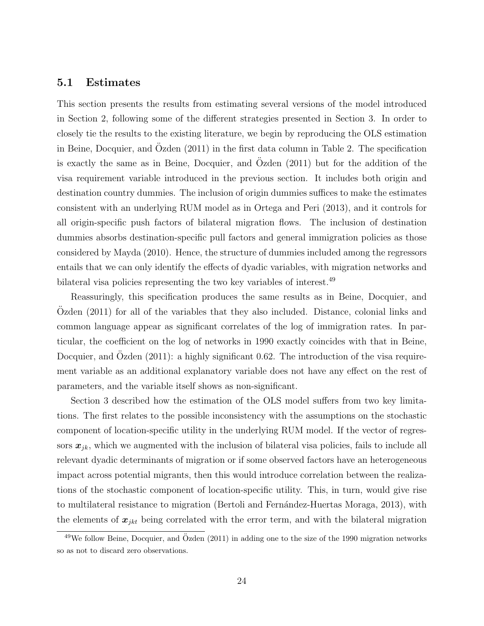### 5.1 Estimates

This section presents the results from estimating several versions of the model introduced in Section 2, following some of the different strategies presented in Section 3. In order to closely tie the results to the existing literature, we begin by reproducing the OLS estimation in Beine, Docquier, and Ozden  $(2011)$  in the first data column in Table 2. The specification is exactly the same as in Beine, Docquier, and Ozden  $(2011)$  but for the addition of the visa requirement variable introduced in the previous section. It includes both origin and destination country dummies. The inclusion of origin dummies suffices to make the estimates consistent with an underlying RUM model as in Ortega and Peri (2013), and it controls for all origin-specific push factors of bilateral migration flows. The inclusion of destination dummies absorbs destination-specific pull factors and general immigration policies as those considered by Mayda (2010). Hence, the structure of dummies included among the regressors entails that we can only identify the effects of dyadic variables, with migration networks and bilateral visa policies representing the two key variables of interest.<sup>49</sup>

Reassuringly, this specification produces the same results as in Beine, Docquier, and Ozden  $(2011)$  for all of the variables that they also included. Distance, colonial links and common language appear as significant correlates of the log of immigration rates. In particular, the coefficient on the log of networks in 1990 exactly coincides with that in Beine, Docquier, and Ozden  $(2011)$ : a highly significant 0.62. The introduction of the visa requirement variable as an additional explanatory variable does not have any effect on the rest of parameters, and the variable itself shows as non-significant.

Section 3 described how the estimation of the OLS model suffers from two key limitations. The first relates to the possible inconsistency with the assumptions on the stochastic component of location-specific utility in the underlying RUM model. If the vector of regressors  $x_{ik}$ , which we augmented with the inclusion of bilateral visa policies, fails to include all relevant dyadic determinants of migration or if some observed factors have an heterogeneous impact across potential migrants, then this would introduce correlation between the realizations of the stochastic component of location-specific utility. This, in turn, would give rise to multilateral resistance to migration (Bertoli and Fernández-Huertas Moraga, 2013), with the elements of  $x_{jkt}$  being correlated with the error term, and with the bilateral migration

 $49$ We follow Beine, Docquier, and Özden (2011) in adding one to the size of the 1990 migration networks so as not to discard zero observations.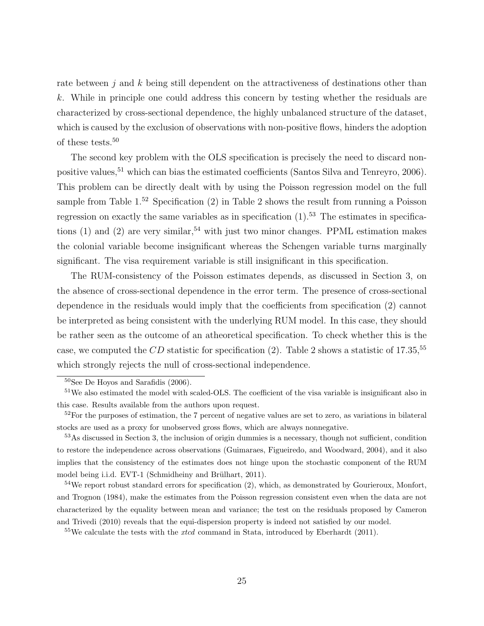rate between  $j$  and k being still dependent on the attractiveness of destinations other than k. While in principle one could address this concern by testing whether the residuals are characterized by cross-sectional dependence, the highly unbalanced structure of the dataset, which is caused by the exclusion of observations with non-positive flows, hinders the adoption of these tests.<sup>50</sup>

The second key problem with the OLS specification is precisely the need to discard nonpositive values,<sup>51</sup> which can bias the estimated coefficients (Santos Silva and Tenreyro, 2006). This problem can be directly dealt with by using the Poisson regression model on the full sample from Table  $1<sup>52</sup>$  Specification (2) in Table 2 shows the result from running a Poisson regression on exactly the same variables as in specification  $(1)$ .<sup>53</sup> The estimates in specifications (1) and (2) are very similar,<sup>54</sup> with just two minor changes. PPML estimation makes the colonial variable become insignificant whereas the Schengen variable turns marginally significant. The visa requirement variable is still insignificant in this specification.

The RUM-consistency of the Poisson estimates depends, as discussed in Section 3, on the absence of cross-sectional dependence in the error term. The presence of cross-sectional dependence in the residuals would imply that the coefficients from specification (2) cannot be interpreted as being consistent with the underlying RUM model. In this case, they should be rather seen as the outcome of an atheoretical specification. To check whether this is the case, we computed the  $CD$  statistic for specification (2). Table 2 shows a statistic of 17.35,  $55$ which strongly rejects the null of cross-sectional independence.

<sup>50</sup>See De Hoyos and Sarafidis (2006).

<sup>&</sup>lt;sup>51</sup>We also estimated the model with scaled-OLS. The coefficient of the visa variable is insignificant also in this case. Results available from the authors upon request.

 $52$ For the purposes of estimation, the 7 percent of negative values are set to zero, as variations in bilateral stocks are used as a proxy for unobserved gross flows, which are always nonnegative.

<sup>53</sup>As discussed in Section 3, the inclusion of origin dummies is a necessary, though not sufficient, condition to restore the independence across observations (Guimaraes, Figueiredo, and Woodward, 2004), and it also implies that the consistency of the estimates does not hinge upon the stochastic component of the RUM model being i.i.d. EVT-1 (Schmidheiny and Brülhart, 2011).

 $54$ We report robust standard errors for specification (2), which, as demonstrated by Gourieroux, Monfort, and Trognon (1984), make the estimates from the Poisson regression consistent even when the data are not characterized by the equality between mean and variance; the test on the residuals proposed by Cameron and Trivedi (2010) reveals that the equi-dispersion property is indeed not satisfied by our model.

 $55$ We calculate the tests with the *xtcd* command in Stata, introduced by Eberhardt (2011).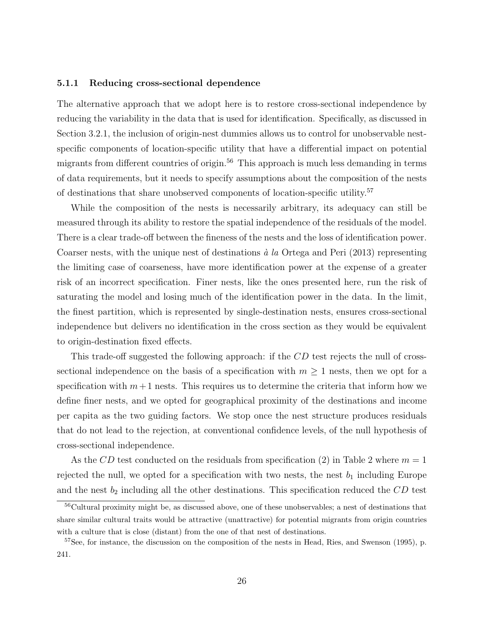#### 5.1.1 Reducing cross-sectional dependence

The alternative approach that we adopt here is to restore cross-sectional independence by reducing the variability in the data that is used for identification. Specifically, as discussed in Section 3.2.1, the inclusion of origin-nest dummies allows us to control for unobservable nestspecific components of location-specific utility that have a differential impact on potential migrants from different countries of origin.<sup>56</sup> This approach is much less demanding in terms of data requirements, but it needs to specify assumptions about the composition of the nests of destinations that share unobserved components of location-specific utility.<sup>57</sup>

While the composition of the nests is necessarily arbitrary, its adequacy can still be measured through its ability to restore the spatial independence of the residuals of the model. There is a clear trade-off between the fineness of the nests and the loss of identification power. Coarser nests, with the unique nest of destinations  $\dot{a}$  la Ortega and Peri (2013) representing the limiting case of coarseness, have more identification power at the expense of a greater risk of an incorrect specification. Finer nests, like the ones presented here, run the risk of saturating the model and losing much of the identification power in the data. In the limit, the finest partition, which is represented by single-destination nests, ensures cross-sectional independence but delivers no identification in the cross section as they would be equivalent to origin-destination fixed effects.

This trade-off suggested the following approach: if the CD test rejects the null of crosssectional independence on the basis of a specification with  $m \geq 1$  nests, then we opt for a specification with  $m+1$  nests. This requires us to determine the criteria that inform how we define finer nests, and we opted for geographical proximity of the destinations and income per capita as the two guiding factors. We stop once the nest structure produces residuals that do not lead to the rejection, at conventional confidence levels, of the null hypothesis of cross-sectional independence.

As the CD test conducted on the residuals from specification (2) in Table 2 where  $m = 1$ rejected the null, we opted for a specification with two nests, the nest  $b_1$  including Europe and the nest  $b_2$  including all the other destinations. This specification reduced the  $CD$  test

<sup>&</sup>lt;sup>56</sup>Cultural proximity might be, as discussed above, one of these unobservables; a nest of destinations that share similar cultural traits would be attractive (unattractive) for potential migrants from origin countries with a culture that is close (distant) from the one of that nest of destinations.

<sup>&</sup>lt;sup>57</sup>See, for instance, the discussion on the composition of the nests in Head, Ries, and Swenson (1995), p. 241.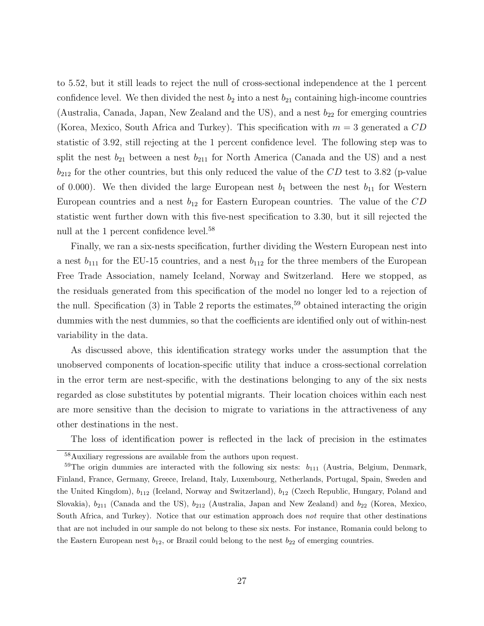to 5.52, but it still leads to reject the null of cross-sectional independence at the 1 percent confidence level. We then divided the nest  $b_2$  into a nest  $b_{21}$  containing high-income countries (Australia, Canada, Japan, New Zealand and the US), and a nest  $b_{22}$  for emerging countries (Korea, Mexico, South Africa and Turkey). This specification with  $m = 3$  generated a  $CD$ statistic of 3.92, still rejecting at the 1 percent confidence level. The following step was to split the nest  $b_{21}$  between a nest  $b_{211}$  for North America (Canada and the US) and a nest  $b_{212}$  for the other countries, but this only reduced the value of the  $CD$  test to 3.82 (p-value of 0.000). We then divided the large European nest  $b_1$  between the nest  $b_{11}$  for Western European countries and a nest  $b_{12}$  for Eastern European countries. The value of the  $CD$ statistic went further down with this five-nest specification to 3.30, but it sill rejected the null at the 1 percent confidence level.<sup>58</sup>

Finally, we ran a six-nests specification, further dividing the Western European nest into a nest  $b_{111}$  for the EU-15 countries, and a nest  $b_{112}$  for the three members of the European Free Trade Association, namely Iceland, Norway and Switzerland. Here we stopped, as the residuals generated from this specification of the model no longer led to a rejection of the null. Specification  $(3)$  in Table 2 reports the estimates,<sup>59</sup> obtained interacting the origin dummies with the nest dummies, so that the coefficients are identified only out of within-nest variability in the data.

As discussed above, this identification strategy works under the assumption that the unobserved components of location-specific utility that induce a cross-sectional correlation in the error term are nest-specific, with the destinations belonging to any of the six nests regarded as close substitutes by potential migrants. Their location choices within each nest are more sensitive than the decision to migrate to variations in the attractiveness of any other destinations in the nest.

The loss of identification power is reflected in the lack of precision in the estimates

<sup>58</sup>Auxiliary regressions are available from the authors upon request.

 $59$ The origin dummies are interacted with the following six nests:  $b_{111}$  (Austria, Belgium, Denmark, Finland, France, Germany, Greece, Ireland, Italy, Luxembourg, Netherlands, Portugal, Spain, Sweden and the United Kingdom),  $b_{112}$  (Iceland, Norway and Switzerland),  $b_{12}$  (Czech Republic, Hungary, Poland and Slovakia),  $b_{211}$  (Canada and the US),  $b_{212}$  (Australia, Japan and New Zealand) and  $b_{22}$  (Korea, Mexico, South Africa, and Turkey). Notice that our estimation approach does not require that other destinations that are not included in our sample do not belong to these six nests. For instance, Romania could belong to the Eastern European nest  $b_{12}$ , or Brazil could belong to the nest  $b_{22}$  of emerging countries.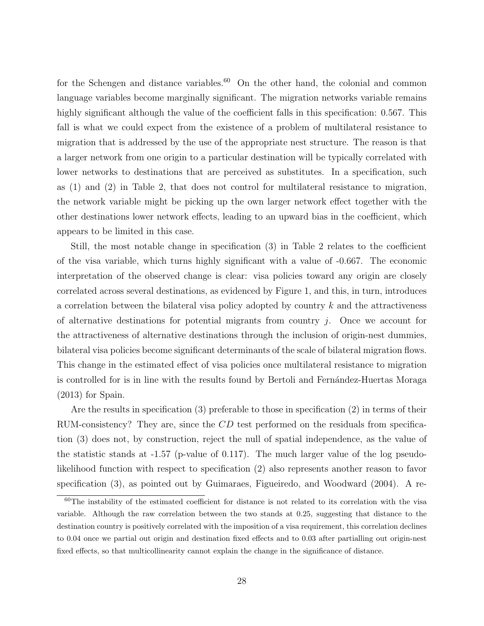for the Schengen and distance variables.<sup>60</sup> On the other hand, the colonial and common language variables become marginally significant. The migration networks variable remains highly significant although the value of the coefficient falls in this specification: 0.567. This fall is what we could expect from the existence of a problem of multilateral resistance to migration that is addressed by the use of the appropriate nest structure. The reason is that a larger network from one origin to a particular destination will be typically correlated with lower networks to destinations that are perceived as substitutes. In a specification, such as (1) and (2) in Table 2, that does not control for multilateral resistance to migration, the network variable might be picking up the own larger network effect together with the other destinations lower network effects, leading to an upward bias in the coefficient, which appears to be limited in this case.

Still, the most notable change in specification (3) in Table 2 relates to the coefficient of the visa variable, which turns highly significant with a value of -0.667. The economic interpretation of the observed change is clear: visa policies toward any origin are closely correlated across several destinations, as evidenced by Figure 1, and this, in turn, introduces a correlation between the bilateral visa policy adopted by country k and the attractiveness of alternative destinations for potential migrants from country  $j$ . Once we account for the attractiveness of alternative destinations through the inclusion of origin-nest dummies, bilateral visa policies become significant determinants of the scale of bilateral migration flows. This change in the estimated effect of visa policies once multilateral resistance to migration is controlled for is in line with the results found by Bertoli and Fernandez-Huertas Moraga (2013) for Spain.

Are the results in specification (3) preferable to those in specification (2) in terms of their RUM-consistency? They are, since the CD test performed on the residuals from specification (3) does not, by construction, reject the null of spatial independence, as the value of the statistic stands at  $-1.57$  (p-value of 0.117). The much larger value of the log pseudolikelihood function with respect to specification (2) also represents another reason to favor specification (3), as pointed out by Guimaraes, Figueiredo, and Woodward (2004). A re-

<sup>60</sup>The instability of the estimated coefficient for distance is not related to its correlation with the visa variable. Although the raw correlation between the two stands at 0.25, suggesting that distance to the destination country is positively correlated with the imposition of a visa requirement, this correlation declines to 0.04 once we partial out origin and destination fixed effects and to 0.03 after partialling out origin-nest fixed effects, so that multicollinearity cannot explain the change in the significance of distance.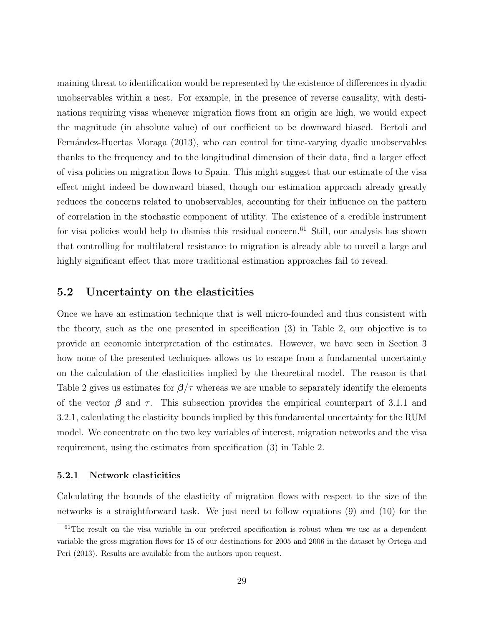maining threat to identification would be represented by the existence of differences in dyadic unobservables within a nest. For example, in the presence of reverse causality, with destinations requiring visas whenever migration flows from an origin are high, we would expect the magnitude (in absolute value) of our coefficient to be downward biased. Bertoli and Fernández-Huertas Moraga (2013), who can control for time-varying dyadic unobservables thanks to the frequency and to the longitudinal dimension of their data, find a larger effect of visa policies on migration flows to Spain. This might suggest that our estimate of the visa effect might indeed be downward biased, though our estimation approach already greatly reduces the concerns related to unobservables, accounting for their influence on the pattern of correlation in the stochastic component of utility. The existence of a credible instrument for visa policies would help to dismiss this residual concern.<sup>61</sup> Still, our analysis has shown that controlling for multilateral resistance to migration is already able to unveil a large and highly significant effect that more traditional estimation approaches fail to reveal.

### 5.2 Uncertainty on the elasticities

Once we have an estimation technique that is well micro-founded and thus consistent with the theory, such as the one presented in specification (3) in Table 2, our objective is to provide an economic interpretation of the estimates. However, we have seen in Section 3 how none of the presented techniques allows us to escape from a fundamental uncertainty on the calculation of the elasticities implied by the theoretical model. The reason is that Table 2 gives us estimates for  $\beta/\tau$  whereas we are unable to separately identify the elements of the vector  $\beta$  and  $\tau$ . This subsection provides the empirical counterpart of 3.1.1 and 3.2.1, calculating the elasticity bounds implied by this fundamental uncertainty for the RUM model. We concentrate on the two key variables of interest, migration networks and the visa requirement, using the estimates from specification (3) in Table 2.

#### 5.2.1 Network elasticities

Calculating the bounds of the elasticity of migration flows with respect to the size of the networks is a straightforward task. We just need to follow equations (9) and (10) for the

 $61$ The result on the visa variable in our preferred specification is robust when we use as a dependent variable the gross migration flows for 15 of our destinations for 2005 and 2006 in the dataset by Ortega and Peri (2013). Results are available from the authors upon request.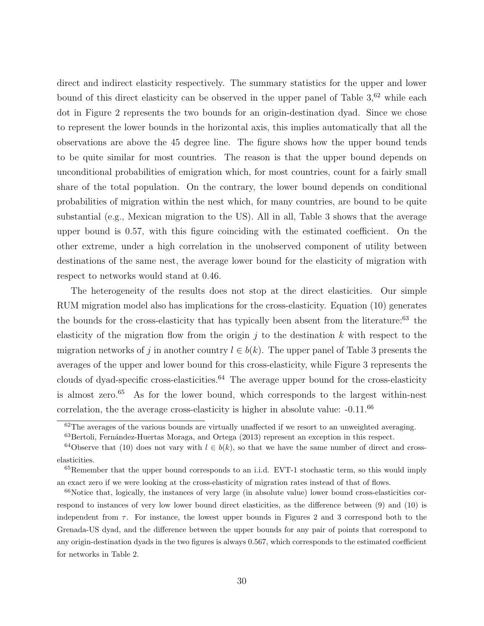direct and indirect elasticity respectively. The summary statistics for the upper and lower bound of this direct elasticity can be observed in the upper panel of Table  $3<sup>62</sup>$  while each dot in Figure 2 represents the two bounds for an origin-destination dyad. Since we chose to represent the lower bounds in the horizontal axis, this implies automatically that all the observations are above the 45 degree line. The figure shows how the upper bound tends to be quite similar for most countries. The reason is that the upper bound depends on unconditional probabilities of emigration which, for most countries, count for a fairly small share of the total population. On the contrary, the lower bound depends on conditional probabilities of migration within the nest which, for many countries, are bound to be quite substantial (e.g., Mexican migration to the US). All in all, Table 3 shows that the average upper bound is 0.57, with this figure coinciding with the estimated coefficient. On the other extreme, under a high correlation in the unobserved component of utility between destinations of the same nest, the average lower bound for the elasticity of migration with respect to networks would stand at 0.46.

The heterogeneity of the results does not stop at the direct elasticities. Our simple RUM migration model also has implications for the cross-elasticity. Equation (10) generates the bounds for the cross-elasticity that has typically been absent from the literature:<sup>63</sup> the elasticity of the migration flow from the origin j to the destination  $k$  with respect to the migration networks of j in another country  $l \in b(k)$ . The upper panel of Table 3 presents the averages of the upper and lower bound for this cross-elasticity, while Figure 3 represents the clouds of dyad-specific cross-elasticities.<sup>64</sup> The average upper bound for the cross-elasticity is almost zero.<sup>65</sup> As for the lower bound, which corresponds to the largest within-nest correlation, the the average cross-elasticity is higher in absolute value:  $-0.11$ .<sup>66</sup>

<sup>&</sup>lt;sup>62</sup>The averages of the various bounds are virtually unaffected if we resort to an unweighted averaging.

<sup>&</sup>lt;sup>63</sup>Bertoli, Fernández-Huertas Moraga, and Ortega (2013) represent an exception in this respect.

<sup>&</sup>lt;sup>64</sup>Observe that (10) does not vary with  $l \in b(k)$ , so that we have the same number of direct and crosselasticities.

 ${}^{65}$ Remember that the upper bound corresponds to an i.i.d. EVT-1 stochastic term, so this would imply an exact zero if we were looking at the cross-elasticity of migration rates instead of that of flows.

 $66$ Notice that, logically, the instances of very large (in absolute value) lower bound cross-elasticities correspond to instances of very low lower bound direct elasticities, as the difference between (9) and (10) is independent from  $\tau$ . For instance, the lowest upper bounds in Figures 2 and 3 correspond both to the Grenada-US dyad, and the difference between the upper bounds for any pair of points that correspond to any origin-destination dyads in the two figures is always 0.567, which corresponds to the estimated coefficient for networks in Table 2.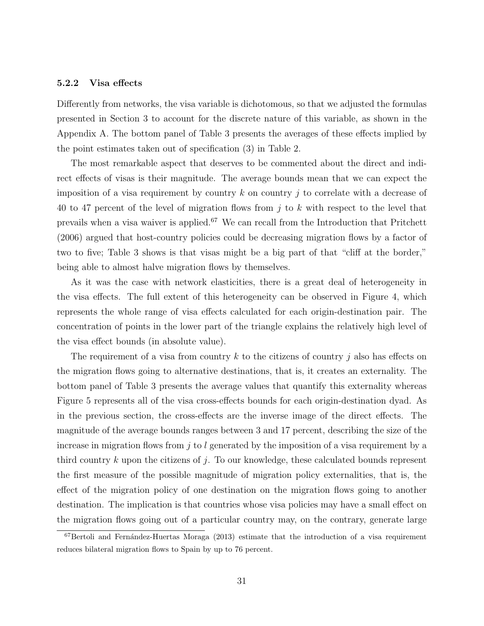#### 5.2.2 Visa effects

Differently from networks, the visa variable is dichotomous, so that we adjusted the formulas presented in Section 3 to account for the discrete nature of this variable, as shown in the Appendix A. The bottom panel of Table 3 presents the averages of these effects implied by the point estimates taken out of specification (3) in Table 2.

The most remarkable aspect that deserves to be commented about the direct and indirect effects of visas is their magnitude. The average bounds mean that we can expect the imposition of a visa requirement by country k on country j to correlate with a decrease of 40 to 47 percent of the level of migration flows from j to k with respect to the level that prevails when a visa waiver is applied.<sup>67</sup> We can recall from the Introduction that Pritchett (2006) argued that host-country policies could be decreasing migration flows by a factor of two to five; Table 3 shows is that visas might be a big part of that "cliff at the border," being able to almost halve migration flows by themselves.

As it was the case with network elasticities, there is a great deal of heterogeneity in the visa effects. The full extent of this heterogeneity can be observed in Figure 4, which represents the whole range of visa effects calculated for each origin-destination pair. The concentration of points in the lower part of the triangle explains the relatively high level of the visa effect bounds (in absolute value).

The requirement of a visa from country k to the citizens of country j also has effects on the migration flows going to alternative destinations, that is, it creates an externality. The bottom panel of Table 3 presents the average values that quantify this externality whereas Figure 5 represents all of the visa cross-effects bounds for each origin-destination dyad. As in the previous section, the cross-effects are the inverse image of the direct effects. The magnitude of the average bounds ranges between 3 and 17 percent, describing the size of the increase in migration flows from  $j$  to l generated by the imposition of a visa requirement by a third country  $k$  upon the citizens of  $j$ . To our knowledge, these calculated bounds represent the first measure of the possible magnitude of migration policy externalities, that is, the effect of the migration policy of one destination on the migration flows going to another destination. The implication is that countries whose visa policies may have a small effect on the migration flows going out of a particular country may, on the contrary, generate large

 $67$ Bertoli and Fernández-Huertas Moraga (2013) estimate that the introduction of a visa requirement reduces bilateral migration flows to Spain by up to 76 percent.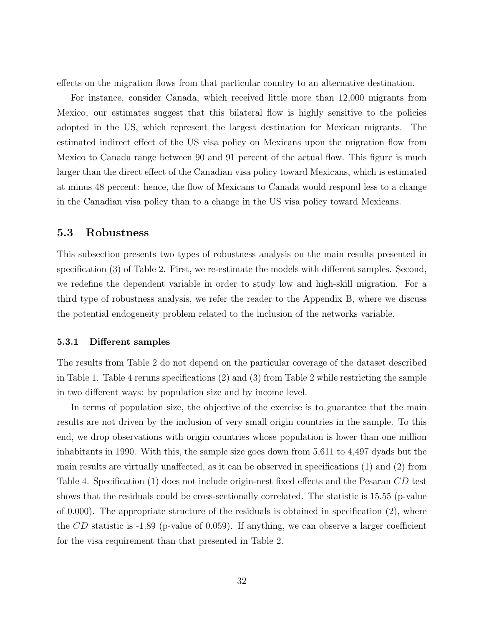effects on the migration flows from that particular country to an alternative destination.

For instance, consider Canada, which received little more than 12,000 migrants from Mexico; our estimates suggest that this bilateral flow is highly sensitive to the policies adopted in the US, which represent the largest destination for Mexican migrants. The estimated indirect effect of the US visa policy on Mexicans upon the migration flow from Mexico to Canada range between 90 and 91 percent of the actual flow. This figure is much larger than the direct effect of the Canadian visa policy toward Mexicans, which is estimated at minus 48 percent: hence, the flow of Mexicans to Canada would respond less to a change in the Canadian visa policy than to a change in the US visa policy toward Mexicans.

### 5.3 Robustness

This subsection presents two types of robustness analysis on the main results presented in specification (3) of Table 2. First, we re-estimate the models with different samples. Second, we redefine the dependent variable in order to study low and high-skill migration. For a third type of robustness analysis, we refer the reader to the Appendix B, where we discuss the potential endogeneity problem related to the inclusion of the networks variable.

#### 5.3.1 Different samples

The results from Table 2 do not depend on the particular coverage of the dataset described in Table 1. Table 4 reruns specifications (2) and (3) from Table 2 while restricting the sample in two different ways: by population size and by income level.

In terms of population size, the objective of the exercise is to guarantee that the main results are not driven by the inclusion of very small origin countries in the sample. To this end, we drop observations with origin countries whose population is lower than one million inhabitants in 1990. With this, the sample size goes down from 5,611 to 4,497 dyads but the main results are virtually unaffected, as it can be observed in specifications (1) and (2) from Table 4. Specification (1) does not include origin-nest fixed effects and the Pesaran CD test shows that the residuals could be cross-sectionally correlated. The statistic is 15.55 (p-value of 0.000). The appropriate structure of the residuals is obtained in specification (2), where the  $CD$  statistic is -1.89 (p-value of 0.059). If anything, we can observe a larger coefficient for the visa requirement than that presented in Table 2.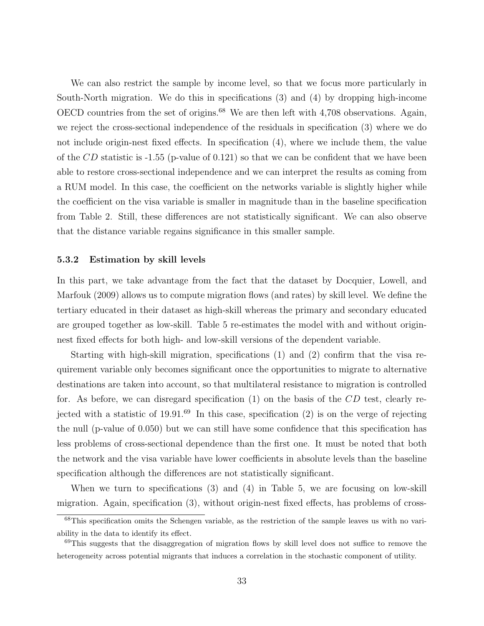We can also restrict the sample by income level, so that we focus more particularly in South-North migration. We do this in specifications (3) and (4) by dropping high-income OECD countries from the set of origins.<sup>68</sup> We are then left with 4,708 observations. Again, we reject the cross-sectional independence of the residuals in specification (3) where we do not include origin-nest fixed effects. In specification (4), where we include them, the value of the CD statistic is  $-1.55$  (p-value of 0.121) so that we can be confident that we have been able to restore cross-sectional independence and we can interpret the results as coming from a RUM model. In this case, the coefficient on the networks variable is slightly higher while the coefficient on the visa variable is smaller in magnitude than in the baseline specification from Table 2. Still, these differences are not statistically significant. We can also observe that the distance variable regains significance in this smaller sample.

#### 5.3.2 Estimation by skill levels

In this part, we take advantage from the fact that the dataset by Docquier, Lowell, and Marfouk (2009) allows us to compute migration flows (and rates) by skill level. We define the tertiary educated in their dataset as high-skill whereas the primary and secondary educated are grouped together as low-skill. Table 5 re-estimates the model with and without originnest fixed effects for both high- and low-skill versions of the dependent variable.

Starting with high-skill migration, specifications (1) and (2) confirm that the visa requirement variable only becomes significant once the opportunities to migrate to alternative destinations are taken into account, so that multilateral resistance to migration is controlled for. As before, we can disregard specification (1) on the basis of the CD test, clearly rejected with a statistic of 19.91.<sup>69</sup> In this case, specification  $(2)$  is on the verge of rejecting the null (p-value of 0.050) but we can still have some confidence that this specification has less problems of cross-sectional dependence than the first one. It must be noted that both the network and the visa variable have lower coefficients in absolute levels than the baseline specification although the differences are not statistically significant.

When we turn to specifications (3) and (4) in Table 5, we are focusing on low-skill migration. Again, specification (3), without origin-nest fixed effects, has problems of cross-

<sup>68</sup>This specification omits the Schengen variable, as the restriction of the sample leaves us with no variability in the data to identify its effect.

 $69$ This suggests that the disaggregation of migration flows by skill level does not suffice to remove the heterogeneity across potential migrants that induces a correlation in the stochastic component of utility.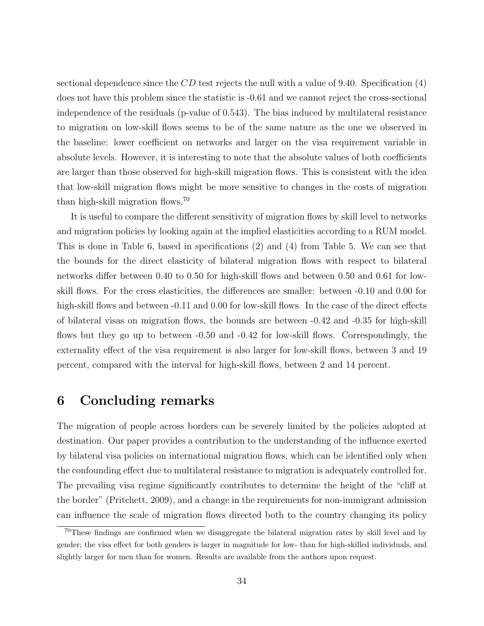sectional dependence since the  $CD$  test rejects the null with a value of 9.40. Specification (4) does not have this problem since the statistic is -0.61 and we cannot reject the cross-sectional independence of the residuals (p-value of 0.543). The bias induced by multilateral resistance to migration on low-skill flows seems to be of the same nature as the one we observed in the baseline: lower coefficient on networks and larger on the visa requirement variable in absolute levels. However, it is interesting to note that the absolute values of both coefficients are larger than those observed for high-skill migration flows. This is consistent with the idea that low-skill migration flows might be more sensitive to changes in the costs of migration than high-skill migration flows.<sup>70</sup>

It is useful to compare the different sensitivity of migration flows by skill level to networks and migration policies by looking again at the implied elasticities according to a RUM model. This is done in Table 6, based in specifications (2) and (4) from Table 5. We can see that the bounds for the direct elasticity of bilateral migration flows with respect to bilateral networks differ between 0.40 to 0.50 for high-skill flows and between 0.50 and 0.61 for lowskill flows. For the cross elasticities, the differences are smaller: between -0.10 and 0.00 for high-skill flows and between  $-0.11$  and  $0.00$  for low-skill flows. In the case of the direct effects of bilateral visas on migration flows, the bounds are between -0.42 and -0.35 for high-skill flows but they go up to between -0.50 and -0.42 for low-skill flows. Correspondingly, the externality effect of the visa requirement is also larger for low-skill flows, between 3 and 19 percent, compared with the interval for high-skill flows, between 2 and 14 percent.

### 6 Concluding remarks

The migration of people across borders can be severely limited by the policies adopted at destination. Our paper provides a contribution to the understanding of the influence exerted by bilateral visa policies on international migration flows, which can be identified only when the confounding effect due to multilateral resistance to migration is adequately controlled for. The prevailing visa regime significantly contributes to determine the height of the "cliff at the border" (Pritchett, 2009), and a change in the requirements for non-immigrant admission can influence the scale of migration flows directed both to the country changing its policy

<sup>&</sup>lt;sup>70</sup>These findings are confirmed when we disaggregate the bilateral migration rates by skill level and by gender; the visa effect for both genders is larger in magnitude for low- than for high-skilled individuals, and slightly larger for men than for women. Results are available from the authors upon request.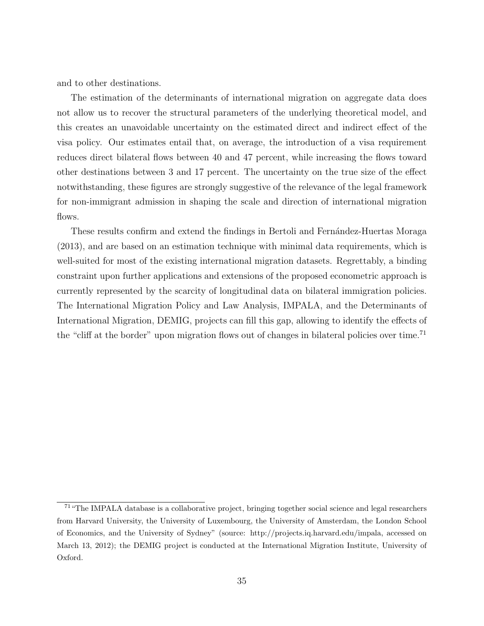and to other destinations.

The estimation of the determinants of international migration on aggregate data does not allow us to recover the structural parameters of the underlying theoretical model, and this creates an unavoidable uncertainty on the estimated direct and indirect effect of the visa policy. Our estimates entail that, on average, the introduction of a visa requirement reduces direct bilateral flows between 40 and 47 percent, while increasing the flows toward other destinations between 3 and 17 percent. The uncertainty on the true size of the effect notwithstanding, these figures are strongly suggestive of the relevance of the legal framework for non-immigrant admission in shaping the scale and direction of international migration flows.

These results confirm and extend the findings in Bertoli and Fernández-Huertas Moraga (2013), and are based on an estimation technique with minimal data requirements, which is well-suited for most of the existing international migration datasets. Regrettably, a binding constraint upon further applications and extensions of the proposed econometric approach is currently represented by the scarcity of longitudinal data on bilateral immigration policies. The International Migration Policy and Law Analysis, IMPALA, and the Determinants of International Migration, DEMIG, projects can fill this gap, allowing to identify the effects of the "cliff at the border" upon migration flows out of changes in bilateral policies over time.<sup>71</sup>

<sup>71</sup>"The IMPALA database is a collaborative project, bringing together social science and legal researchers from Harvard University, the University of Luxembourg, the University of Amsterdam, the London School of Economics, and the University of Sydney" (source: http://projects.iq.harvard.edu/impala, accessed on March 13, 2012); the DEMIG project is conducted at the International Migration Institute, University of Oxford.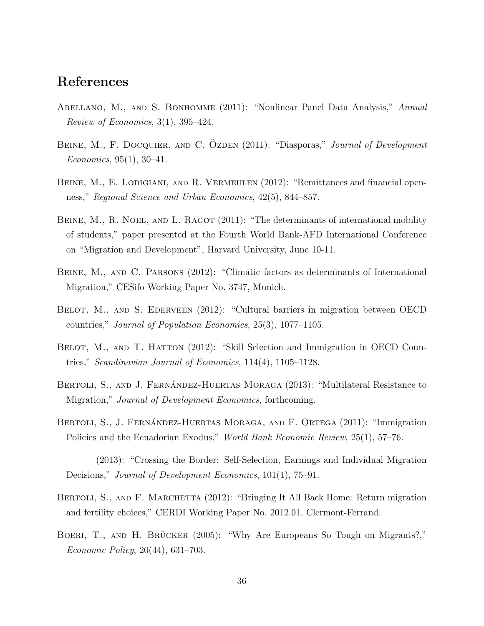### References

- ARELLANO, M., AND S. BONHOMME (2011): "Nonlinear Panel Data Analysis," Annual Review of Economics,  $3(1)$ ,  $395-424$ .
- BEINE, M., F. DOCQUIER, AND C. OZDEN (2011): "Diasporas," Journal of Development Economics, 95(1), 30–41.
- BEINE, M., E. LODIGIANI, AND R. VERMEULEN (2012): "Remittances and financial openness," Regional Science and Urban Economics, 42(5), 844–857.
- BEINE, M., R. NOEL, AND L. RAGOT (2011): "The determinants of international mobility of students," paper presented at the Fourth World Bank-AFD International Conference on "Migration and Development", Harvard University, June 10-11.
- Beine, M., and C. Parsons (2012): "Climatic factors as determinants of International Migration," CESifo Working Paper No. 3747, Munich.
- BELOT, M., AND S. EDERVEEN (2012): "Cultural barriers in migration between OECD countries," Journal of Population Economics, 25(3), 1077–1105.
- BELOT, M., AND T. HATTON (2012): "Skill Selection and Immigration in OECD Countries," Scandinavian Journal of Economics, 114(4), 1105–1128.
- BERTOLI, S., AND J. FERNÁNDEZ-HUERTAS MORAGA (2013): "Multilateral Resistance to Migration," Journal of Development Economics, forthcoming.
- BERTOLI, S., J. FERNÁNDEZ-HUERTAS MORAGA, AND F. ORTEGA (2011): "Immigration Policies and the Ecuadorian Exodus," World Bank Economic Review, 25(1), 57–76.
- (2013): "Crossing the Border: Self-Selection, Earnings and Individual Migration Decisions," *Journal of Development Economics*, 101(1), 75–91.
- BERTOLI, S., AND F. MARCHETTA (2012): "Bringing It All Back Home: Return migration and fertility choices," CERDI Working Paper No. 2012.01, Clermont-Ferrand.
- BOERI, T., AND H. BRÜCKER (2005): "Why Are Europeans So Tough on Migrants?," Economic Policy, 20(44), 631–703.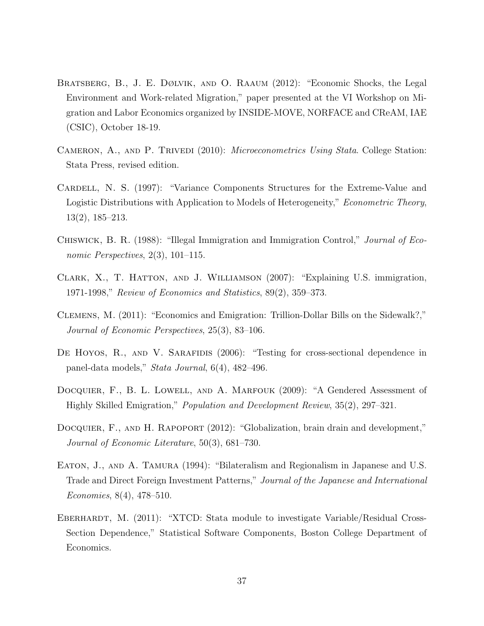- Bratsberg, B., J. E. Dølvik, and O. Raaum (2012): "Economic Shocks, the Legal Environment and Work-related Migration," paper presented at the VI Workshop on Migration and Labor Economics organized by INSIDE-MOVE, NORFACE and CReAM, IAE (CSIC), October 18-19.
- CAMERON, A., AND P. TRIVEDI (2010): *Microeconometrics Using Stata*. College Station: Stata Press, revised edition.
- CARDELL, N. S. (1997): "Variance Components Structures for the Extreme-Value and Logistic Distributions with Application to Models of Heterogeneity," *Econometric Theory*, 13(2), 185–213.
- Chiswick, B. R. (1988): "Illegal Immigration and Immigration Control," Journal of Economic Perspectives, 2(3), 101–115.
- Clark, X., T. Hatton, and J. Williamson (2007): "Explaining U.S. immigration, 1971-1998," Review of Economics and Statistics, 89(2), 359–373.
- Clemens, M. (2011): "Economics and Emigration: Trillion-Dollar Bills on the Sidewalk?," Journal of Economic Perspectives, 25(3), 83–106.
- DE HOYOS, R., AND V. SARAFIDIS (2006): "Testing for cross-sectional dependence in panel-data models," Stata Journal, 6(4), 482–496.
- DOCQUIER, F., B. L. LOWELL, AND A. MARFOUK (2009): "A Gendered Assessment of Highly Skilled Emigration," Population and Development Review, 35(2), 297–321.
- DOCQUIER, F., AND H. RAPOPORT (2012): "Globalization, brain drain and development," Journal of Economic Literature, 50(3), 681–730.
- EATON, J., AND A. TAMURA (1994): "Bilateralism and Regionalism in Japanese and U.S. Trade and Direct Foreign Investment Patterns," Journal of the Japanese and International Economies, 8(4), 478–510.
- EBERHARDT, M. (2011): "XTCD: Stata module to investigate Variable/Residual Cross-Section Dependence," Statistical Software Components, Boston College Department of Economics.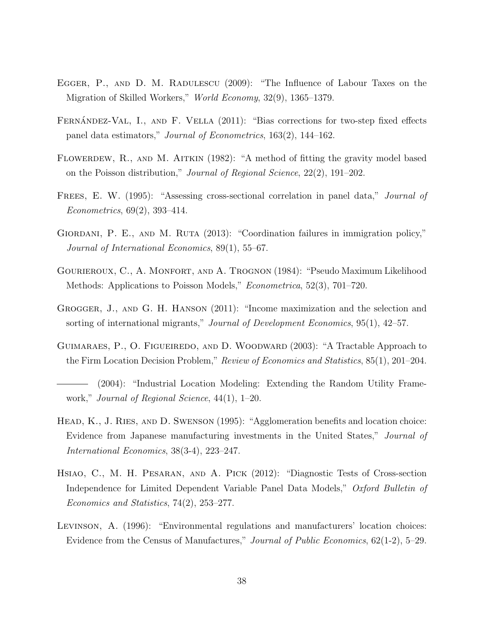- EGGER, P., AND D. M. RADULESCU (2009): "The Influence of Labour Taxes on the Migration of Skilled Workers," World Economy, 32(9), 1365–1379.
- FERNÁNDEZ-VAL, I., AND F. VELLA (2011): "Bias corrections for two-step fixed effects panel data estimators," Journal of Econometrics, 163(2), 144–162.
- FLOWERDEW, R., AND M. AITKIN (1982): "A method of fitting the gravity model based on the Poisson distribution," Journal of Regional Science, 22(2), 191–202.
- FREES, E. W. (1995): "Assessing cross-sectional correlation in panel data," *Journal of* Econometrics, 69(2), 393–414.
- GIORDANI, P. E., AND M. RUTA (2013): "Coordination failures in immigration policy," Journal of International Economics, 89(1), 55–67.
- Gourieroux, C., A. Monfort, and A. Trognon (1984): "Pseudo Maximum Likelihood Methods: Applications to Poisson Models," Econometrica, 52(3), 701–720.
- Grogger, J., and G. H. Hanson (2011): "Income maximization and the selection and sorting of international migrants," Journal of Development Economics, 95(1), 42–57.
- Guimaraes, P., O. Figueiredo, and D. Woodward (2003): "A Tractable Approach to the Firm Location Decision Problem," Review of Economics and Statistics, 85(1), 201–204.
- (2004): "Industrial Location Modeling: Extending the Random Utility Framework," Journal of Regional Science, 44(1), 1–20.
- Head, K., J. Ries, and D. Swenson (1995): "Agglomeration benefits and location choice: Evidence from Japanese manufacturing investments in the United States," Journal of International Economics, 38(3-4), 223–247.
- Hsiao, C., M. H. Pesaran, and A. Pick (2012): "Diagnostic Tests of Cross-section Independence for Limited Dependent Variable Panel Data Models," Oxford Bulletin of Economics and Statistics, 74(2), 253–277.
- Levinson, A. (1996): "Environmental regulations and manufacturers' location choices: Evidence from the Census of Manufactures," Journal of Public Economics, 62(1-2), 5–29.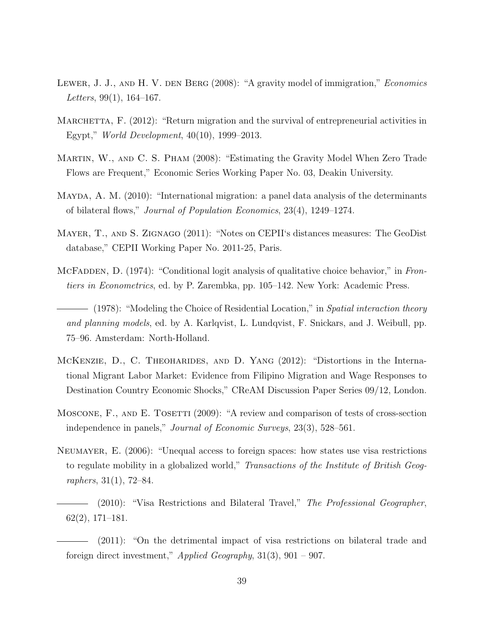- LEWER, J. J., AND H. V. DEN BERG (2008): "A gravity model of immigration," *Economics* Letters,  $99(1)$ ,  $164-167$ .
- MARCHETTA, F. (2012): "Return migration and the survival of entrepreneurial activities in Egypt," World Development, 40(10), 1999–2013.
- Martin, W., and C. S. Pham (2008): "Estimating the Gravity Model When Zero Trade Flows are Frequent," Economic Series Working Paper No. 03, Deakin University.
- Mayda, A. M. (2010): "International migration: a panel data analysis of the determinants of bilateral flows," Journal of Population Economics, 23(4), 1249–1274.
- Mayer, T., and S. Zignago (2011): "Notes on CEPII's distances measures: The GeoDist database," CEPII Working Paper No. 2011-25, Paris.
- MCFADDEN, D. (1974): "Conditional logit analysis of qualitative choice behavior," in Frontiers in Econometrics, ed. by P. Zarembka, pp. 105–142. New York: Academic Press.
- (1978): "Modeling the Choice of Residential Location," in Spatial interaction theory and planning models, ed. by A. Karlqvist, L. Lundqvist, F. Snickars, and J. Weibull, pp. 75–96. Amsterdam: North-Holland.
- MCKENZIE, D., C. THEOHARIDES, AND D. YANG (2012): "Distortions in the International Migrant Labor Market: Evidence from Filipino Migration and Wage Responses to Destination Country Economic Shocks," CReAM Discussion Paper Series 09/12, London.
- MOSCONE, F., AND E. TOSETTI (2009): "A review and comparison of tests of cross-section independence in panels," Journal of Economic Surveys, 23(3), 528–561.
- Neumayer, E. (2006): "Unequal access to foreign spaces: how states use visa restrictions to regulate mobility in a globalized world," Transactions of the Institute of British Geographers, 31(1), 72–84.
	- (2010): "Visa Restrictions and Bilateral Travel," The Professional Geographer, 62(2), 171–181.
	- (2011): "On the detrimental impact of visa restrictions on bilateral trade and foreign direct investment," Applied Geography, 31(3), 901 – 907.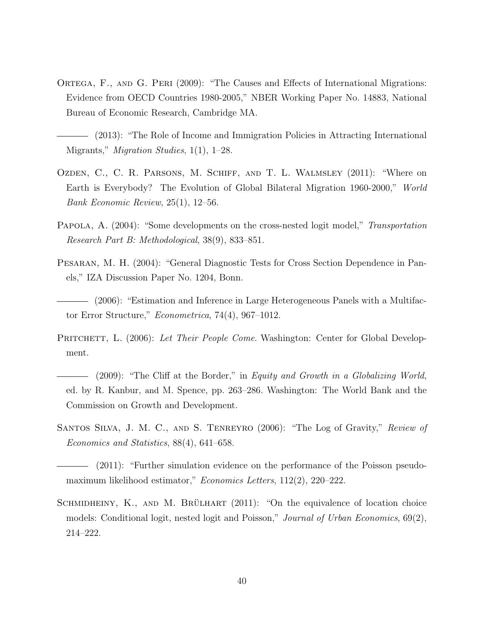- ORTEGA, F., AND G. PERI (2009): "The Causes and Effects of International Migrations: Evidence from OECD Countries 1980-2005," NBER Working Paper No. 14883, National Bureau of Economic Research, Cambridge MA.
- (2013): "The Role of Income and Immigration Policies in Attracting International Migrants," *Migration Studies*, 1(1), 1–28.
- Ozden, C., C. R. Parsons, M. Schiff, and T. L. Walmsley (2011): "Where on Earth is Everybody? The Evolution of Global Bilateral Migration 1960-2000," World Bank Economic Review, 25(1), 12–56.
- PAPOLA, A. (2004): "Some developments on the cross-nested logit model," Transportation Research Part B: Methodological, 38(9), 833–851.
- Pesaran, M. H. (2004): "General Diagnostic Tests for Cross Section Dependence in Panels," IZA Discussion Paper No. 1204, Bonn.
- (2006): "Estimation and Inference in Large Heterogeneous Panels with a Multifactor Error Structure," Econometrica, 74(4), 967–1012.
- PRITCHETT, L. (2006): Let Their People Come. Washington: Center for Global Development.
- (2009): "The Cliff at the Border," in Equity and Growth in a Globalizing World, ed. by R. Kanbur, and M. Spence, pp. 263–286. Washington: The World Bank and the Commission on Growth and Development.
- Santos Silva, J. M. C., and S. Tenreyro (2006): "The Log of Gravity," Review of Economics and Statistics, 88(4), 641–658.
- (2011): "Further simulation evidence on the performance of the Poisson pseudomaximum likelihood estimator," Economics Letters, 112(2), 220–222.
- SCHMIDHEINY, K., AND M. BRÜLHART  $(2011)$ : "On the equivalence of location choice models: Conditional logit, nested logit and Poisson," Journal of Urban Economics, 69(2), 214–222.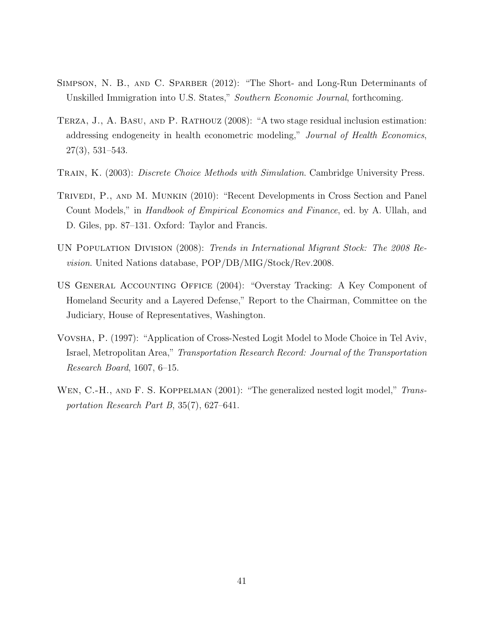- SIMPSON, N. B., AND C. SPARBER (2012): "The Short- and Long-Run Determinants of Unskilled Immigration into U.S. States," Southern Economic Journal, forthcoming.
- Terza, J., A. Basu, and P. Rathouz (2008): "A two stage residual inclusion estimation: addressing endogeneity in health econometric modeling," Journal of Health Economics, 27(3), 531–543.
- TRAIN, K. (2003): *Discrete Choice Methods with Simulation*. Cambridge University Press.
- Trivedi, P., and M. Munkin (2010): "Recent Developments in Cross Section and Panel Count Models," in Handbook of Empirical Economics and Finance, ed. by A. Ullah, and D. Giles, pp. 87–131. Oxford: Taylor and Francis.
- UN POPULATION DIVISION (2008): Trends in International Migrant Stock: The 2008 Revision. United Nations database, POP/DB/MIG/Stock/Rev.2008.
- US General Accounting Office (2004): "Overstay Tracking: A Key Component of Homeland Security and a Layered Defense," Report to the Chairman, Committee on the Judiciary, House of Representatives, Washington.
- Vovsha, P. (1997): "Application of Cross-Nested Logit Model to Mode Choice in Tel Aviv, Israel, Metropolitan Area," Transportation Research Record: Journal of the Transportation Research Board, 1607, 6–15.
- WEN, C.-H., AND F. S. KOPPELMAN (2001): "The generalized nested logit model," Transportation Research Part B, 35(7), 627–641.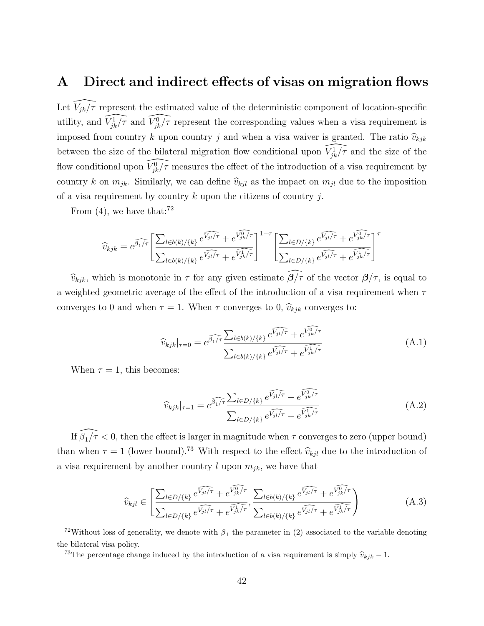### A Direct and indirect effects of visas on migration flows

Let  $\widehat{V_{jk}}/\tau$  represent the estimated value of the deterministic component of location-specific utility, and  $\widehat{V_{jk}^1/\tau}$  and  $\widehat{V_{jk}^0/\tau}$  represent the corresponding values when a visa requirement is imposed from country k upon country j and when a visa waiver is granted. The ratio  $\hat{v}_{kjk}$ between the size of the bilateral migration flow conditional upon  $\widehat{V_{jk}}/\tau$  and the size of the flow conditional upon  $\widehat{V_{jk}^0/\tau}$  measures the effect of the introduction of a visa requirement by country k on  $m_{jk}$ . Similarly, we can define  $\hat{v}_{kjl}$  as the impact on  $m_{jl}$  due to the imposition of a visa requirement by country  $k$  upon the citizens of country  $j$ .

From  $(4)$ , we have that:<sup>72</sup>

$$
\widehat{v}_{kjk} = e^{\widehat{\beta_1}/\tau} \left[ \frac{\sum_{l \in b(k)/\{k\}} e^{\widehat{V_{jl}/\tau}} + e^{\widehat{V_{jk}/\tau}}}{\sum_{l \in b(k)/\{k\}} e^{\widehat{V_{jl}/\tau}} + e^{\widehat{V_{jk}/\tau}}} \right]^{1-\tau} \left[ \frac{\sum_{l \in D/\{k\}} e^{\widehat{V_{jl}/\tau}} + e^{\widehat{V_{jk}/\tau}}}{\sum_{l \in D/\{k\}} e^{\widehat{V_{jl}/\tau}} + e^{\widehat{V_{jk}/\tau}}} \right]^{\tau}
$$

 $\widehat{v}_{kjk}$ , which is monotonic in  $\tau$  for any given estimate  $\widehat{\beta}/\tau$  of the vector  $\beta/\tau$ , is equal to a weighted geometric average of the effect of the introduction of a visa requirement when  $\tau$ converges to 0 and when  $\tau = 1$ . When  $\tau$  converges to 0,  $\hat{v}_{kjk}$  converges to:

$$
\widehat{v}_{kjk}|_{\tau=0} = e^{\widehat{\beta_1}/\tau} \frac{\sum_{l \in b(k)/\{k\}} e^{\widehat{V_{jl}}/\tau} + e^{\widehat{V_{jk}}/\tau}}{\sum_{l \in b(k)/\{k\}} e^{\widehat{V_{jl}}/\tau} + e^{\widehat{V_{jk}}/\tau}}
$$
(A.1)

When  $\tau = 1$ , this becomes:

$$
\widehat{v}_{kjk}|_{\tau=1} = e^{\widehat{\beta_1/\tau}} \frac{\sum_{l \in D/\{k\}} e^{\widehat{V_{jl}/\tau}} + e^{\widehat{V_{jk}^0/\tau}}}{\sum_{l \in D/\{k\}} e^{\widehat{V_{jl}/\tau}} + e^{\widehat{V_{jk}^1/\tau}}}
$$
(A.2)

If  $\widehat{\beta_1/\tau}$  < 0, then the effect is larger in magnitude when  $\tau$  converges to zero (upper bound) than when  $\tau = 1$  (lower bound).<sup>73</sup> With respect to the effect  $\hat{v}_{kjl}$  due to the introduction of a visa requirement by another country l upon  $m_{jk}$ , we have that

$$
\widehat{v}_{kjl} \in \left[ \frac{\sum_{l \in D/\{k\}} e^{\widehat{V_{jl}}/\tau} + e^{\widehat{V_{jk}}/\tau}}{\sum_{l \in D/\{k\}} e^{\widehat{V_{jl}}/\tau} + e^{\widehat{V_{jk}}/\tau}}, \frac{\sum_{l \in b(k)/\{k\}} e^{\widehat{V_{jl}}/\tau} + e^{\widehat{V_{jk}}/\tau}}{\sum_{l \in b(k)/\{k\}} e^{\widehat{V_{jl}}/\tau} + e^{\widehat{V_{jk}}/\tau}} \right) \tag{A.3}
$$

<sup>&</sup>lt;sup>72</sup>Without loss of generality, we denote with  $\beta_1$  the parameter in (2) associated to the variable denoting the bilateral visa policy.

<sup>&</sup>lt;sup>73</sup>The percentage change induced by the introduction of a visa requirement is simply  $\hat{v}_{kjk} - 1$ .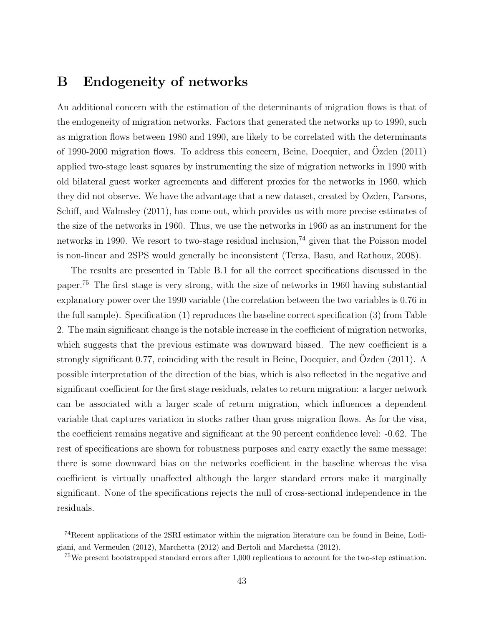### B Endogeneity of networks

An additional concern with the estimation of the determinants of migration flows is that of the endogeneity of migration networks. Factors that generated the networks up to 1990, such as migration flows between 1980 and 1990, are likely to be correlated with the determinants of 1990-2000 migration flows. To address this concern, Beine, Docquier, and Ozden (2011) applied two-stage least squares by instrumenting the size of migration networks in 1990 with old bilateral guest worker agreements and different proxies for the networks in 1960, which they did not observe. We have the advantage that a new dataset, created by Ozden, Parsons, Schiff, and Walmsley (2011), has come out, which provides us with more precise estimates of the size of the networks in 1960. Thus, we use the networks in 1960 as an instrument for the networks in 1990. We resort to two-stage residual inclusion,<sup> $74$ </sup> given that the Poisson model is non-linear and 2SPS would generally be inconsistent (Terza, Basu, and Rathouz, 2008).

The results are presented in Table B.1 for all the correct specifications discussed in the paper.<sup>75</sup> The first stage is very strong, with the size of networks in 1960 having substantial explanatory power over the 1990 variable (the correlation between the two variables is 0.76 in the full sample). Specification (1) reproduces the baseline correct specification (3) from Table 2. The main significant change is the notable increase in the coefficient of migration networks, which suggests that the previous estimate was downward biased. The new coefficient is a strongly significant 0.77, coinciding with the result in Beine, Docquier, and Özden (2011). A possible interpretation of the direction of the bias, which is also reflected in the negative and significant coefficient for the first stage residuals, relates to return migration: a larger network can be associated with a larger scale of return migration, which influences a dependent variable that captures variation in stocks rather than gross migration flows. As for the visa, the coefficient remains negative and significant at the 90 percent confidence level: -0.62. The rest of specifications are shown for robustness purposes and carry exactly the same message: there is some downward bias on the networks coefficient in the baseline whereas the visa coefficient is virtually unaffected although the larger standard errors make it marginally significant. None of the specifications rejects the null of cross-sectional independence in the residuals.

<sup>74</sup>Recent applications of the 2SRI estimator within the migration literature can be found in Beine, Lodigiani, and Vermeulen (2012), Marchetta (2012) and Bertoli and Marchetta (2012).

<sup>75</sup>We present bootstrapped standard errors after 1,000 replications to account for the two-step estimation.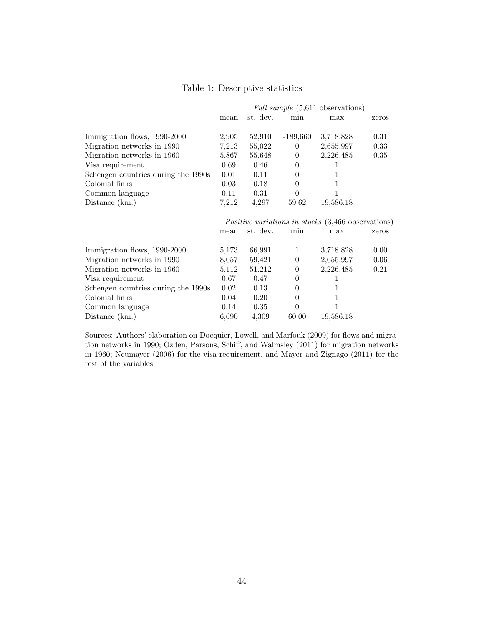|  | Table 1: Descriptive statistics |  |
|--|---------------------------------|--|
|--|---------------------------------|--|

|                                     | <i>Full sample</i> (5,611 observations)                   |          |                  |           |       |
|-------------------------------------|-----------------------------------------------------------|----------|------------------|-----------|-------|
|                                     | mean                                                      | st. dev. | min              | max       | zeros |
|                                     |                                                           |          |                  |           |       |
| Immigration flows, 1990-2000        | 2,905                                                     | 52,910   | $-189,660$       | 3,718,828 | 0.31  |
| Migration networks in 1990          | 7,213                                                     | 55,022   | $\theta$         | 2,655,997 | 0.33  |
| Migration networks in 1960          | 5,867                                                     | 55,648   | $\theta$         | 2,226,485 | 0.35  |
| Visa requirement                    | 0.69                                                      | 0.46     | $\theta$         |           |       |
| Schengen countries during the 1990s | 0.01                                                      | 0.11     | $\boldsymbol{0}$ | 1         |       |
| Colonial links                      | 0.03                                                      | 0.18     | $\theta$         |           |       |
| Common language                     | 0.11                                                      | 0.31     | $\theta$         | 1         |       |
| Distance $(km.)$                    | 7,212                                                     | 4,297    | 59.62            | 19,586.18 |       |
|                                     |                                                           |          |                  |           |       |
|                                     | <i>Positive variations in stocks</i> (3,466 observations) |          |                  |           |       |
|                                     | mean                                                      | st. dev. | min              | max       | zeros |
|                                     |                                                           |          |                  |           |       |
| Immigration flows, 1990-2000        | 5,173                                                     | 66,991   | $\mathbf{1}$     | 3,718,828 | 0.00  |
| Migration networks in 1990          | 8,057                                                     | 59,421   | $\theta$         | 2,655,997 | 0.06  |
| Migration networks in 1960          | 5,112                                                     | 51,212   | $\theta$         | 2,226,485 | 0.21  |
| Visa requirement                    |                                                           |          |                  |           |       |
|                                     | 0.67                                                      | 0.47     | $\theta$         |           |       |
| Schengen countries during the 1990s | 0.02                                                      | 0.13     | $\overline{0}$   | 1         |       |
| Colonial links                      | 0.04                                                      | 0.20     | $\theta$         | 1         |       |
| Common language                     | 0.14                                                      | 0.35     | $\theta$         | 1         |       |

Sources: Authors' elaboration on Docquier, Lowell, and Marfouk (2009) for flows and migration networks in 1990; Ozden, Parsons, Schiff, and Walmsley (2011) for migration networks in 1960; Neumayer (2006) for the visa requirement, and Mayer and Zignago (2011) for the rest of the variables.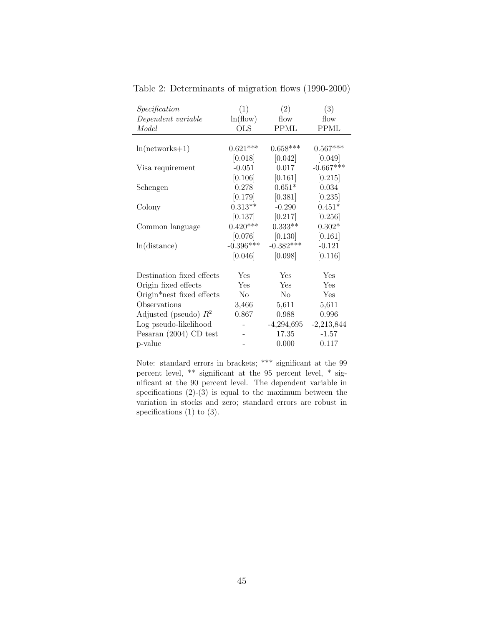| Specification             | (1)            | (2)          | (3)          |
|---------------------------|----------------|--------------|--------------|
| Dependent variable        | ln(flow)       | flow         | flow         |
| Model                     | <b>OLS</b>     | PPML         | <b>PPML</b>  |
|                           |                |              |              |
| $ln(networks+1)$          | $0.621***$     | $0.658***$   | $0.567***$   |
|                           | [0.018]        | [0.042]      | [0.049]      |
| Visa requirement          | $-0.051$       | 0.017        | $-0.667***$  |
|                           | [0.106]        | [0.161]      | [0.215]      |
| Schengen                  | 0.278          | $0.651*$     | 0.034        |
|                           | [0.179]        | [0.381]      | [0.235]      |
| Colony                    | $0.313**$      | $-0.290$     | $0.451*$     |
|                           | [0.137]        | [0.217]      | [0.256]      |
| Common language           | $0.420***$     | $0.333**$    | $0.302*$     |
|                           | [0.076]        | [0.130]      | [0.161]      |
| ln(distance)              | $-0.396***$    | $-0.382***$  | $-0.121$     |
|                           | [0.046]        | [0.098]      | [0.116]      |
|                           |                |              |              |
| Destination fixed effects | Yes            | Yes          | Yes          |
| Origin fixed effects      | Yes            | Yes          | Yes          |
| Origin*nest fixed effects | N <sub>o</sub> | No           | Yes          |
| Observations              | 3,466          | 5,611        | 5,611        |
| Adjusted (pseudo) $R^2$   | 0.867          | 0.988        | 0.996        |
| Log pseudo-likelihood     |                | $-4,294,695$ | $-2,213,844$ |
| Pesaran $(2004)$ CD test  |                | 17.35        | $-1.57$      |
| p-value                   |                | 0.000        | 0.117        |

Table 2: Determinants of migration flows (1990-2000)

Note: standard errors in brackets; \*\*\* significant at the 99 percent level, \*\* significant at the 95 percent level, \* significant at the 90 percent level. The dependent variable in specifications  $(2)-(3)$  is equal to the maximum between the variation in stocks and zero; standard errors are robust in specifications  $(1)$  to  $(3)$ .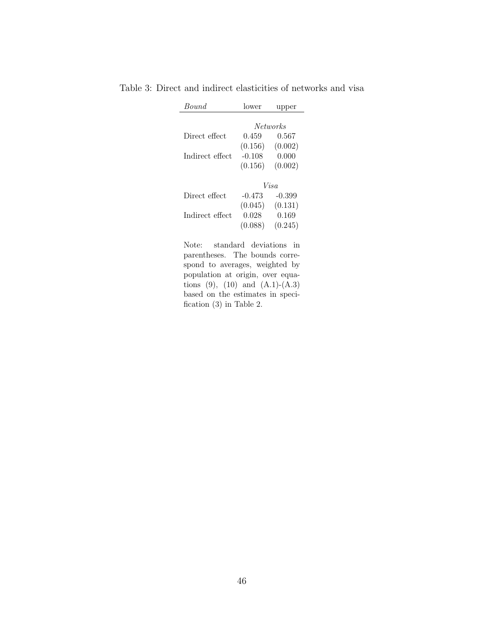| <i>Bound</i>    | lower    | upper           |
|-----------------|----------|-----------------|
|                 |          | <i>Networks</i> |
| Direct effect   | 0.459    | 0.567           |
|                 | (0.156)  | (0.002)         |
| Indirect effect | $-0.108$ | 0.000           |
|                 | (0.156)  | (0.002)         |
|                 |          | Visa            |
| Direct effect   | $-0.473$ | -0.399          |
|                 | (0.045)  | (0.131)         |
| Indirect effect | 0.028    | 0.169           |
|                 | (0.088)  | (0.245)         |

Table 3: Direct and indirect elasticities of networks and visa

Note: standard deviations in parentheses. The bounds correspond to averages, weighted by population at origin, over equations  $(9)$ ,  $(10)$  and  $(A.1)-(A.3)$ based on the estimates in specification (3) in Table 2.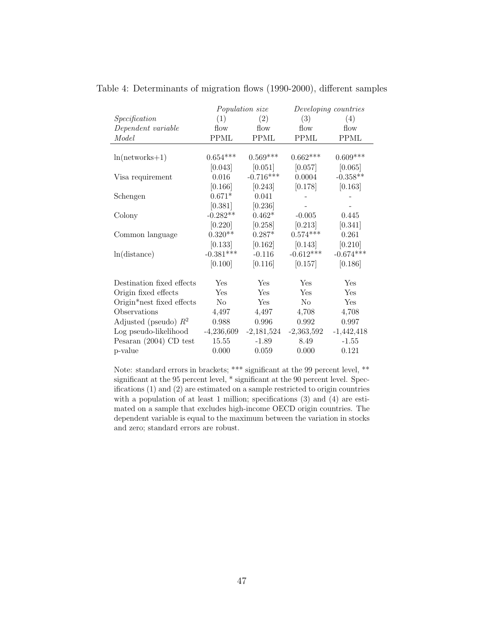|                           | Population size |              | Developing countries |              |
|---------------------------|-----------------|--------------|----------------------|--------------|
| Specification             | (1)             | (2)          | (3)                  | (4)          |
| Dependent variable        | flow            | flow         | flow                 | flow         |
| Model                     | <b>PPML</b>     | <b>PPML</b>  | <b>PPML</b>          | <b>PPML</b>  |
|                           |                 |              |                      |              |
| $ln(networks+1)$          | $0.654***$      | $0.569***$   | $0.662***$           | $0.609***$   |
|                           | [0.043]         | [0.051]      | [0.057]              | [0.065]      |
| Visa requirement          | 0.016           | $-0.716***$  | 0.0004               | $-0.358**$   |
|                           | [0.166]         | [0.243]      | [0.178]              | [0.163]      |
| Schengen                  | $0.671*$        | 0.041        |                      |              |
|                           | [0.381]         | [0.236]      |                      |              |
| Colony                    | $-0.282**$      | $0.462*$     | $-0.005$             | 0.445        |
|                           | [0.220]         | [0.258]      | [0.213]              | [0.341]      |
| Common language           | $0.320**$       | $0.287*$     | $0.574***$           | 0.261        |
|                           | [0.133]         | [0.162]      | [0.143]              | [0.210]      |
| ln(distance)              | $-0.381***$     | $-0.116$     | $-0.612***$          | $-0.674***$  |
|                           | [0.100]         | [0.116]      | [0.157]              | [0.186]      |
|                           |                 |              |                      |              |
| Destination fixed effects | <b>Yes</b>      | <b>Yes</b>   | Yes                  | Yes          |
| Origin fixed effects      | Yes             | Yes          | Yes                  | Yes          |
| Origin*nest fixed effects | N <sub>o</sub>  | Yes          | N <sub>o</sub>       | Yes          |
| Observations              | 4,497           | 4,497        | 4,708                | 4,708        |
| Adjusted (pseudo) $R^2$   | 0.988           | 0.996        | 0.992                | 0.997        |
| Log pseudo-likelihood     | $-4,236,609$    | $-2,181,524$ | $-2,363,592$         | $-1,442,418$ |
| Pesaran $(2004)$ CD test  | 15.55           | $-1.89$      | 8.49                 | $-1.55$      |
| p-value                   | 0.000           | 0.059        | 0.000                | 0.121        |

Table 4: Determinants of migration flows (1990-2000), different samples

Note: standard errors in brackets; \*\*\* significant at the 99 percent level, \*\* significant at the 95 percent level, \* significant at the 90 percent level. Specifications (1) and (2) are estimated on a sample restricted to origin countries with a population of at least 1 million; specifications (3) and (4) are estimated on a sample that excludes high-income OECD origin countries. The dependent variable is equal to the maximum between the variation in stocks and zero; standard errors are robust.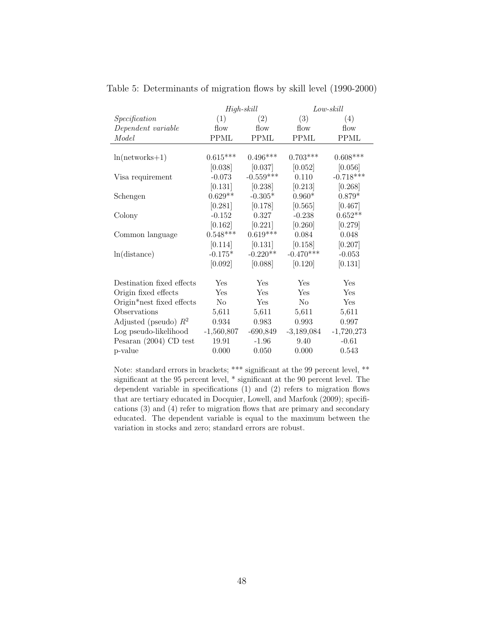|                           | $High-skill$   |             |              | $Low$ -skill |
|---------------------------|----------------|-------------|--------------|--------------|
| Specification             | (1)            | (2)         | (3)          | (4)          |
| Dependent variable        | flow           | flow        | flow         | flow         |
| Model                     | <b>PPML</b>    | <b>PPML</b> | <b>PPML</b>  | <b>PPML</b>  |
|                           |                |             |              |              |
| $ln(networks+1)$          | $0.615***$     | $0.496***$  | $0.703***$   | $0.608***$   |
|                           | [0.038]        | [0.037]     | [0.052]      | [0.056]      |
| Visa requirement          | $-0.073$       | $-0.559***$ | 0.110        | $-0.718***$  |
|                           | [0.131]        | [0.238]     | [0.213]      | [0.268]      |
| Schengen                  | $0.629**$      | $-0.305*$   | $0.960*$     | $0.879*$     |
|                           | [0.281]        | [0.178]     | [0.565]      | [0.467]      |
| Colony                    | $-0.152$       | 0.327       | $-0.238$     | $0.652**$    |
|                           | [0.162]        | [0.221]     | [0.260]      | [0.279]      |
| Common language           | $0.548***$     | $0.619***$  | 0.084        | 0.048        |
|                           | [0.114]        | [0.131]     | [0.158]      | [0.207]      |
| ln(distance)              | $-0.175*$      | $-0.220**$  | $-0.470***$  | $-0.053$     |
|                           | [0.092]        | [0.088]     | [0.120]      | [0.131]      |
|                           |                |             |              |              |
| Destination fixed effects | <b>Yes</b>     | Yes         | <b>Yes</b>   | Yes          |
| Origin fixed effects      | Yes            | Yes         | Yes          | Yes          |
| Origin*nest fixed effects | N <sub>o</sub> | Yes         | $\rm No$     | Yes          |
| Observations              | 5,611          | 5,611       | 5,611        | 5,611        |
| Adjusted (pseudo) $R^2$   | $0.934\,$      | 0.983       | 0.993        | 0.997        |
| Log pseudo-likelihood     | $-1,560,807$   | $-690,849$  | $-3,189,084$ | $-1,720,273$ |
| Pesaran $(2004)$ CD test  | 19.91          | $-1.96$     | 9.40         | $-0.61$      |
| p-value                   | 0.000          | 0.050       | 0.000        | 0.543        |

Table 5: Determinants of migration flows by skill level (1990-2000)

Note: standard errors in brackets; \*\*\* significant at the 99 percent level, \*\* significant at the 95 percent level, \* significant at the 90 percent level. The dependent variable in specifications (1) and (2) refers to migration flows that are tertiary educated in Docquier, Lowell, and Marfouk (2009); specifications (3) and (4) refer to migration flows that are primary and secondary educated. The dependent variable is equal to the maximum between the variation in stocks and zero; standard errors are robust.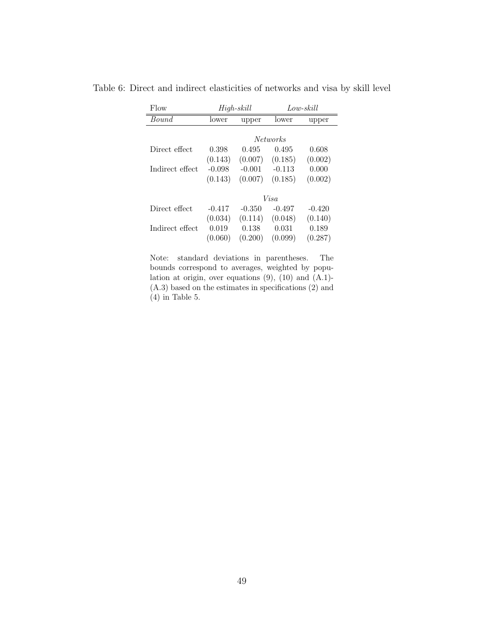| Flow            | $High-skill$ |          |                 | Low-skill |
|-----------------|--------------|----------|-----------------|-----------|
| Bound           | lower        | upper    | lower           | upper     |
|                 |              |          |                 |           |
|                 |              |          | <i>Networks</i> |           |
| Direct effect   | 0.398        | 0.495    | 0.495           | 0.608     |
|                 | (0.143)      | (0.007)  | (0.185)         | (0.002)   |
| Indirect effect | $-0.098$     | $-0.001$ | $-0.113$        | 0.000     |
|                 | (0.143)      | (0.007)  | (0.185)         | (0.002)   |
|                 | Visa         |          |                 |           |
|                 |              |          |                 |           |
| Direct effect   | $-0.417$     | $-0.350$ | $-0.497$        | $-0.420$  |
|                 | (0.034)      | (0.114)  | (0.048)         | (0.140)   |
| Indirect effect | 0.019        | 0.138    | 0.031           | 0.189     |
|                 | (0.060)      | (0.200)  | (0.099)         | (0.287)   |

Table 6: Direct and indirect elasticities of networks and visa by skill level

Note: standard deviations in parentheses. The bounds correspond to averages, weighted by population at origin, over equations  $(9)$ ,  $(10)$  and  $(A.1)$ -(A.3) based on the estimates in specifications (2) and (4) in Table 5.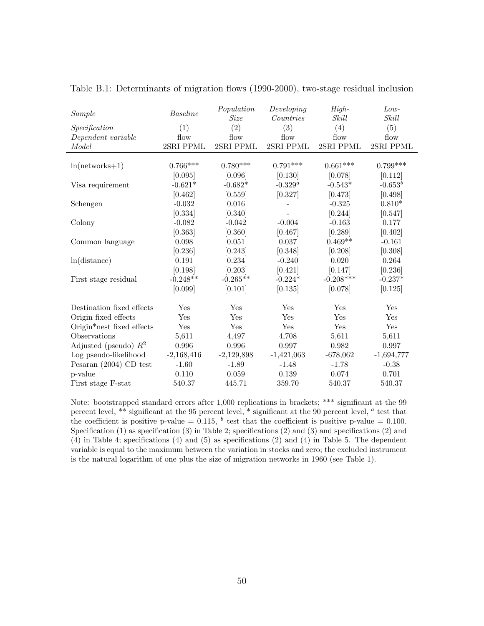| Sample                    | Baseline     | Population<br>Size | Developing<br>Countries | High-<br>Skill | $Low-$<br>Skill |
|---------------------------|--------------|--------------------|-------------------------|----------------|-----------------|
| Specification             | (1)          | (2)                | (3)                     | (4)            | (5)             |
| Dependent variable        | flow         | flow               | flow                    | flow           | flow            |
| Model                     | 2SRI PPML    | 2SRI PPML          | 2SRI PPML               | 2SRI PPML      | 2SRI PPML       |
|                           |              |                    |                         |                |                 |
| $ln(networks+1)$          | $0.766***$   | $0.780***$         | $0.791***$              | $0.661***$     | $0.799***$      |
|                           | [0.095]      | [0.096]            | [0.130]                 | [0.078]        | [0.112]         |
| Visa requirement          | $-0.621*$    | $-0.682*$          | $-0.329^{a}$            | $-0.543*$      | $-0.653^b$      |
|                           | [0.462]      | [0.559]            | [0.327]                 | [0.473]        | [0.498]         |
| Schengen                  | $-0.032$     | 0.016              |                         | $-0.325$       | $0.810*$        |
|                           | [0.334]      | [0.340]            |                         | [0.244]        | [0.547]         |
| Colony                    | $-0.082$     | $-0.042$           | $-0.004$                | $-0.163$       | 0.177           |
|                           | [0.363]      | [0.360]            | [0.467]                 | [0.289]        | [0.402]         |
| Common language           | 0.098        | 0.051              | 0.037                   | $0.469**$      | $-0.161$        |
|                           | [0.236]      | [0.243]            | [0.348]                 | [0.208]        | [0.308]         |
| ln(distance)              | 0.191        | 0.234              | $-0.240$                | 0.020          | 0.264           |
|                           | [0.198]      | [0.203]            | [0.421]                 | [0.147]        | [0.236]         |
| First stage residual      | $-0.248**$   | $-0.265**$         | $-0.224*$               | $-0.208***$    | $-0.237*$       |
|                           | [0.099]      | [0.101]            | [0.135]                 | [0.078]        | [0.125]         |
|                           |              |                    |                         |                |                 |
| Destination fixed effects | Yes          | Yes                | Yes                     | Yes            | Yes             |
| Origin fixed effects      | Yes          | Yes                | Yes                     | Yes            | Yes             |
| Origin*nest fixed effects | Yes          | Yes                | Yes                     | Yes            | Yes             |
| Observations              | 5,611        | 4,497              | 4,708                   | 5,611          | 5,611           |
| Adjusted (pseudo) $R^2$   | 0.996        | 0.996              | 0.997                   | 0.982          | 0.997           |
| Log pseudo-likelihood     | $-2,168,416$ | $-2,129,898$       | $-1,421,063$            | $-678,062$     | $-1,694,777$    |
| Pesaran $(2004)$ CD test  | $-1.60$      | $-1.89$            | $-1.48$                 | $-1.78$        | $-0.38$         |
| p-value                   | 0.110        | 0.059              | 0.139                   | 0.074          | 0.701           |
| First stage F-stat        | 540.37       | 445.71             | 359.70                  | 540.37         | 540.37          |

Table B.1: Determinants of migration flows (1990-2000), two-stage residual inclusion

Note: bootstrapped standard errors after 1,000 replications in brackets; \*\*\* significant at the 99 percent level, \*\* significant at the 95 percent level, \* significant at the 90 percent level,  $a$  test that the coefficient is positive p-value = 0.115, <sup>b</sup> test that the coefficient is positive p-value = 0.100. Specification (1) as specification (3) in Table 2; specifications (2) and (3) and specifications (2) and (4) in Table 4; specifications (4) and (5) as specifications (2) and (4) in Table 5. The dependent variable is equal to the maximum between the variation in stocks and zero; the excluded instrument is the natural logarithm of one plus the size of migration networks in 1960 (see Table 1).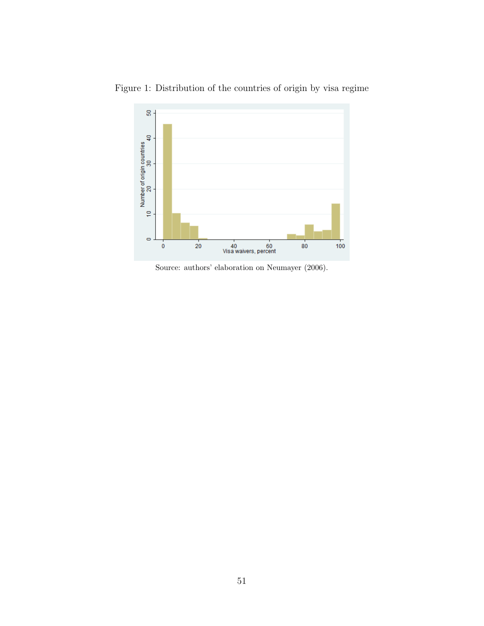

Figure 1: Distribution of the countries of origin by visa regime

Source: authors' elaboration on Neumayer  $(2006)$ .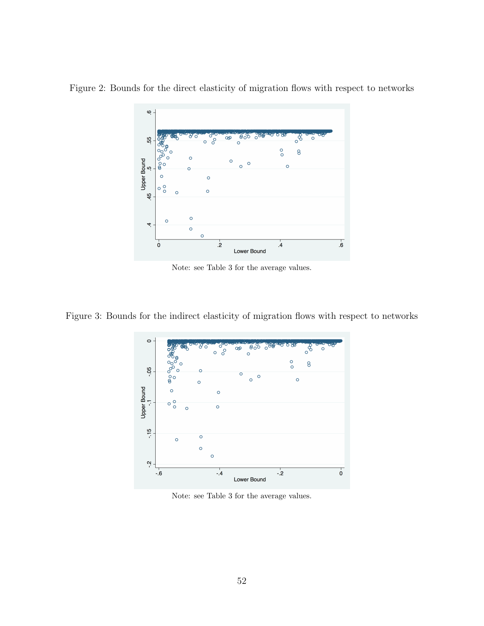

Figure 2: Bounds for the direct elasticity of migration flows with respect to networks

Note: see Table 3 for the average values.

Figure 3: Bounds for the indirect elasticity of migration flows with respect to networks



Note: see Table 3 for the average values.